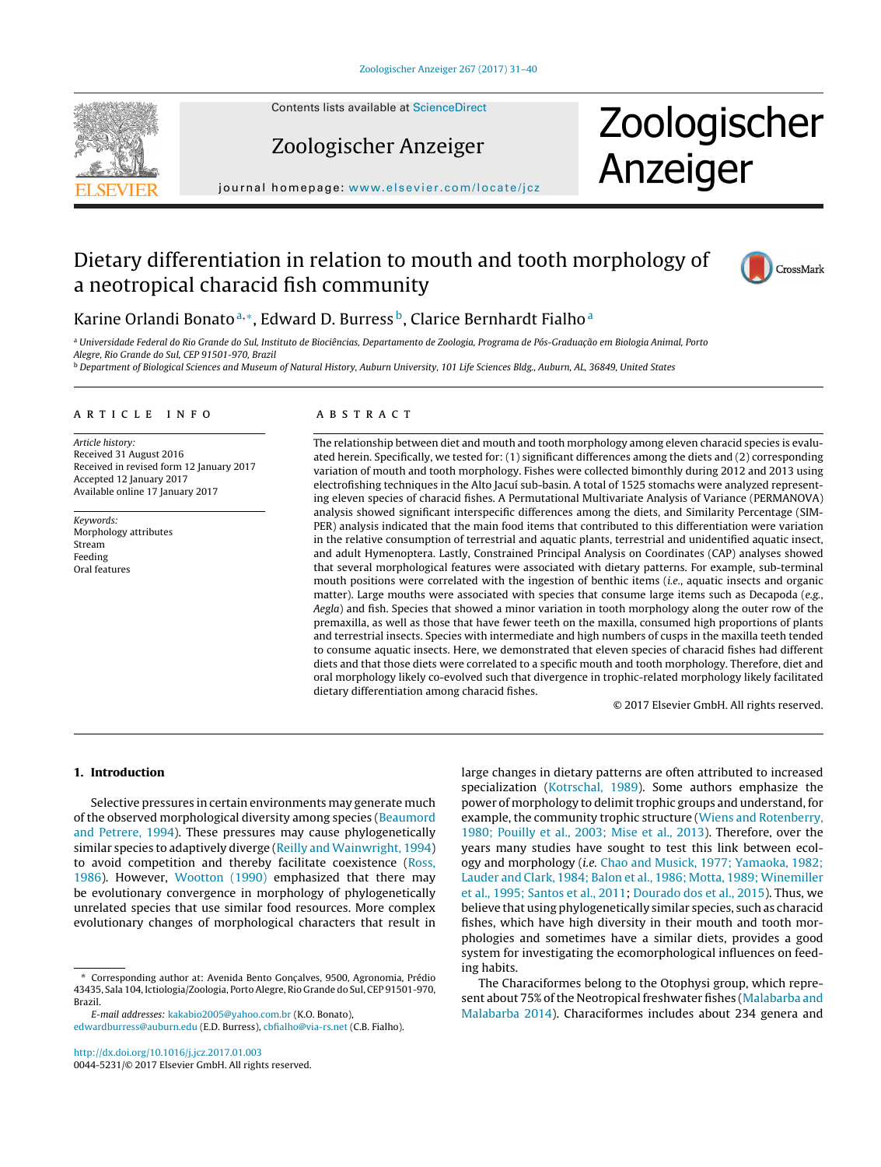

Contents lists available at [ScienceDirect](http://www.sciencedirect.com/science/journal/00445231)

# Zoologischer Anzeiger

# Zoologischer Anzeiger

journal homepage: [www.elsevier.com/locate/jcz](http://www.elsevier.com/locate/jcz)

# Dietary differentiation in relation to mouth and tooth morphology of a neotropical characid fish community



# Karine Orlandi Bonato<sup>a,</sup>\*, Edward D. Burress<sup>b</sup>, Clarice Bernhardt Fialho<sup>a</sup>

a Universidade Federal do Rio Grande do Sul, Instituto de Biociências, Departamento de Zoologia, Programa de Pós-Graduação em Biologia Animal, Porto Alegre, Rio Grande do Sul, CEP 91501-970, Brazil **b** Department of Biological Sciences and Museum of Natural History, Auburn University, 101 Life Sciences Bldg., Auburn, AL, 36849, United States

#### a r t i c l e i n f o

Article history: Received 31 August 2016 Received in revised form 12 January 2017 Accepted 12 January 2017 Available online 17 January 2017

Keywords: Morphology attributes Stream Feeding Oral features

## A B S T R A C T

The relationship between diet and mouth and tooth morphology among eleven characid species is evaluated herein. Specifically, we tested for: (1) significant differences among the diets and (2) corresponding variation of mouth and tooth morphology. Fishes were collected bimonthly during 2012 and 2013 using electrofishing techniques in the Alto Jacuí sub-basin. A total of 1525 stomachs were analyzed representing eleven species of characid fishes. A Permutational Multivariate Analysis of Variance (PERMANOVA) analysis showed significant interspecific differences among the diets, and Similarity Percentage (SIM-PER) analysis indicated that the main food items that contributed to this differentiation were variation in the relative consumption of terrestrial and aquatic plants, terrestrial and unidentified aquatic insect, and adult Hymenoptera. Lastly, Constrained Principal Analysis on Coordinates (CAP) analyses showed that several morphological features were associated with dietary patterns. For example, sub-terminal mouth positions were correlated with the ingestion of benthic items (i.e., aquatic insects and organic matter). Large mouths were associated with species that consume large items such as Decapoda (e.g., Aegla) and fish. Species that showed a minor variation in tooth morphology along the outer row of the premaxilla, as well as those that have fewer teeth on the maxilla, consumed high proportions of plants and terrestrial insects. Species with intermediate and high numbers of cusps in the maxilla teeth tended to consume aquatic insects. Here, we demonstrated that eleven species of characid fishes had different diets and that those diets were correlated to a specific mouth and tooth morphology. Therefore, diet and oral morphology likely co-evolved such that divergence in trophic-related morphology likely facilitated dietary differentiation among characid fishes.

© 2017 Elsevier GmbH. All rights reserved.

### **1. Introduction**

Selective pressures in certain environments may generate much of the observed morphological diversity among species ([Beaumord](#page-8-0) [and](#page-8-0) [Petrere,](#page-8-0) [1994\).](#page-8-0) These pressures may cause phylogenetically similar species to adaptively diverge ([Reilly](#page-9-0) [and](#page-9-0) [Wainwright,](#page-9-0) [1994\)](#page-9-0) to avoid competition and thereby facilitate coexistence [\(Ross,](#page-9-0) [1986\).](#page-9-0) However, [Wootton](#page-9-0) [\(1990\)](#page-9-0) emphasized that there may be evolutionary convergence in morphology of phylogenetically unrelated species that use similar food resources. More complex evolutionary changes of morphological characters that result in

Corresponding author at: Avenida Bento Gonçalves, 9500, Agronomia, Prédio 43435, Sala 104, Ictiologia/Zoologia, Porto Alegre, Rio Grande do Sul, CEP 91501-970, Brazil.

E-mail addresses: [kakabio2005@yahoo.com.br](mailto:kakabio2005@yahoo.com.br) (K.O. Bonato),

[edwardburress@auburn.edu](mailto:edwardburress@auburn.edu) (E.D. Burress), [cbfialho@via-rs.net](mailto:cbfialho@via-rs.net) (C.B. Fialho).

specialization ([Kotrschal,](#page-8-0) [1989\).](#page-8-0) Some authors emphasize the power of morphology to delimit trophic groups and understand, for example, the community trophic structure [\(Wiens](#page-9-0) [and](#page-9-0) [Rotenberry,](#page-9-0) [1980;](#page-9-0) [Pouilly](#page-9-0) et [al.,](#page-9-0) [2003;](#page-9-0) [Mise](#page-9-0) et [al.,](#page-9-0) [2013\).](#page-9-0) Therefore, over the years many studies have sought to test this link between ecology and morphology (i.e. [Chao](#page-8-0) [and](#page-8-0) [Musick,](#page-8-0) [1977;](#page-8-0) [Yamaoka,](#page-8-0) [1982;](#page-8-0) [Lauder](#page-8-0) [and](#page-8-0) [Clark,](#page-8-0) [1984;](#page-8-0) [Balon](#page-8-0) et [al.,](#page-8-0) [1986;](#page-8-0) [Motta,](#page-8-0) [1989;](#page-8-0) [Winemiller](#page-8-0) et [al.,](#page-8-0) [1995;](#page-8-0) [Santos](#page-8-0) et [al.,](#page-8-0) [2011;](#page-8-0) [Dourado](#page-8-0) [dos](#page-8-0) et [al.,](#page-8-0) [2015\).](#page-8-0) Thus, we believe that using phylogenetically similar species, such as characid fishes, which have high diversity in their mouth and tooth morphologies and sometimes have a similar diets, provides a good system for investigating the ecomorphological influences on feeding habits.

large changes in dietary patterns are often attributed to increased

The Characiformes belong to the Otophysi group, which repre-sent about 75% of the Neotropical freshwater fishes ([Malabarba](#page-8-0) [and](#page-8-0) [Malabarba](#page-8-0) [2014\).](#page-8-0) Characiformes includes about 234 genera and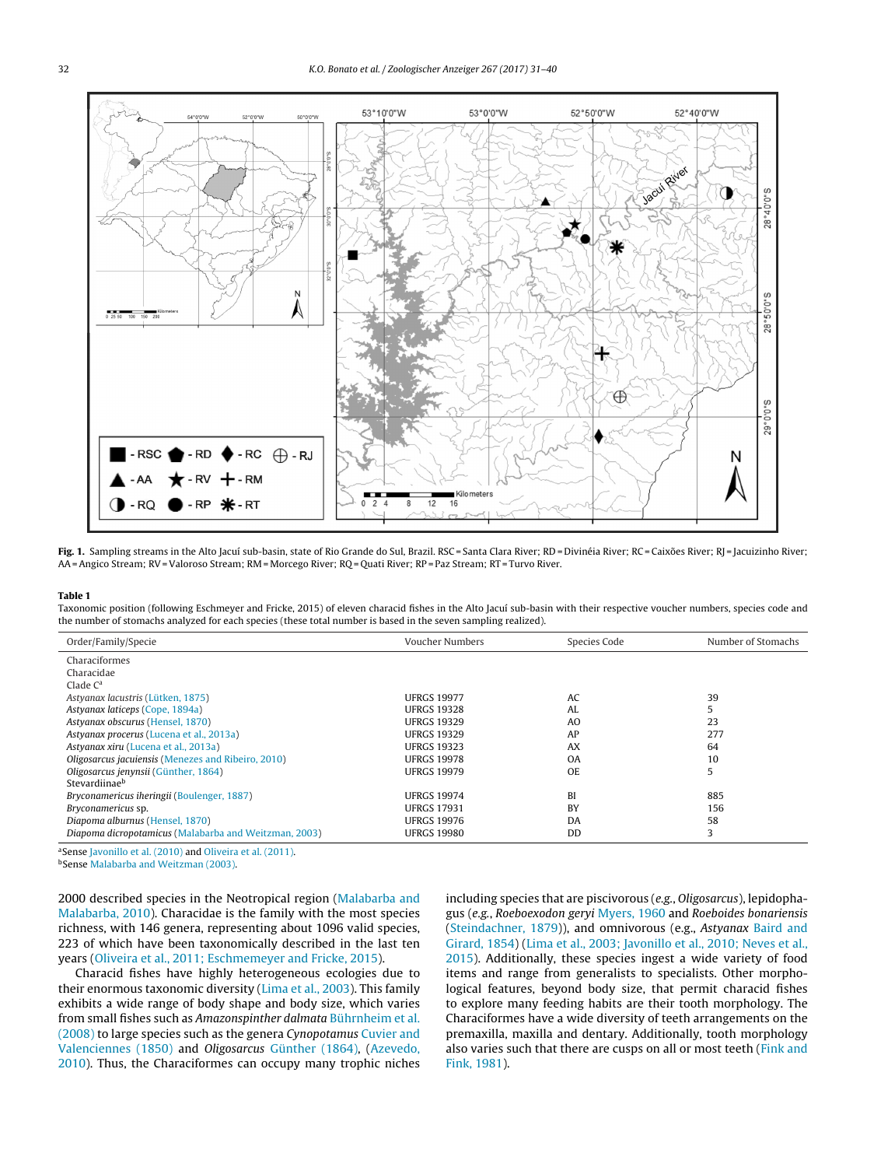<span id="page-1-0"></span>

Fig. 1. Sampling streams in the Alto Jacuí sub-basin, state of Rio Grande do Sul, Brazil. RSC = Santa Clara River; RD = Divinéia River; RC = Caixões River; RJ = Jacuizinho River; AA=Angico Stream; RV=Valoroso Stream; RM = Morcego River; RQ = Quati River; RP = Paz Stream; RT = Turvo River.

#### **Table 1**

Taxonomic position (following Eschmeyer and Fricke, 2015) of eleven characid fishes in the Alto Jacuí sub-basin with their respective voucher numbers, species code and the number of stomachs analyzed for each species (these total number is based in the seven sampling realized).

| Order/Family/Specie                                   | Voucher Numbers    | Species Code   | Number of Stomachs |
|-------------------------------------------------------|--------------------|----------------|--------------------|
| Characiformes                                         |                    |                |                    |
| Characidae                                            |                    |                |                    |
| Clade $C^a$                                           |                    |                |                    |
| Astyanax lacustris (Lütken, 1875)                     | <b>UFRGS 19977</b> | AC             | 39                 |
| Astyanax laticeps (Cope, 1894a)                       | <b>UFRGS 19328</b> | AI.            |                    |
| Astyanax obscurus (Hensel, 1870)                      | <b>UFRGS 19329</b> | A <sub>O</sub> | 23                 |
| Astyanax procerus (Lucena et al., 2013a)              | <b>UFRGS 19329</b> | AP             | 277                |
| Astyanax xiru (Lucena et al., 2013a)                  | <b>UFRGS 19323</b> | AX             | 64                 |
| Oligosarcus jacuiensis (Menezes and Ribeiro, 2010)    | <b>UFRGS 19978</b> | 0A             | 10                 |
| Oligosarcus jenynsii (Günther, 1864)                  | <b>UFRGS 19979</b> | OE.            |                    |
| Stevardiinaeb                                         |                    |                |                    |
| <i>Bryconamericus iheringii (Boulenger, 1887)</i>     | <b>UFRGS 19974</b> | BI             | 885                |
| Bryconamericus sp.                                    | <b>UFRGS 17931</b> | <b>BY</b>      | 156                |
| Diapoma alburnus (Hensel, 1870)                       | <b>UFRGS 19976</b> | <b>DA</b>      | 58                 |
| Diapoma dicropotamicus (Malabarba and Weitzman, 2003) | <b>UFRGS 19980</b> | DD             | 3                  |

aSense [Javonillo](#page-8-0) et [al.](#page-8-0) [\(2010\)](#page-8-0) and [Oliveira](#page-8-0) et [al.](#page-8-0) [\(2011\).](#page-8-0)

bSense [Malabarba](#page-8-0) [and](#page-8-0) [Weitzman](#page-8-0) [\(2003\).](#page-8-0)

2000 described species in the Neotropical region [\(Malabarba](#page-8-0) [and](#page-8-0) [Malabarba,](#page-8-0) [2010\).](#page-8-0) Characidae is the family with the most species richness, with 146 genera, representing about 1096 valid species, 223 of which have been taxonomically described in the last ten years [\(Oliveira](#page-8-0) et [al.,](#page-8-0) [2011;](#page-8-0) [Eschmemeyer](#page-8-0) [and](#page-8-0) [Fricke,](#page-8-0) [2015\).](#page-8-0)

Characid fishes have highly heterogeneous ecologies due to their enormous taxonomic diversity [\(Lima](#page-8-0) et [al.,](#page-8-0) [2003\).](#page-8-0) This family exhibits a wide range of body shape and body size, which varies from small fishes such as Amazonspinther dalmata [Bührnheim](#page-8-0) et [al.](#page-8-0) [\(2008\)](#page-8-0) to large species such as the genera Cynopotamus [Cuvier](#page-8-0) [and](#page-8-0) [Valenciennes](#page-8-0) [\(1850\)](#page-8-0) and Oligosarcus [Günther](#page-8-0) [\(1864\),](#page-8-0) [\(Azevedo,](#page-8-0) [2010\).](#page-8-0) Thus, the Characiformes can occupy many trophic niches

including species that are piscivorous (e.g., Oligosarcus), lepidophagus (e.g., Roeboexodon geryi [Myers,](#page-8-0) [1960](#page-8-0) and Roeboides bonariensis [\(Steindachner,](#page-9-0) [1879\)\)](#page-9-0), and omnivorous (e.g., Astyanax [Baird](#page-8-0) [and](#page-8-0) [Girard,](#page-8-0) [1854\)](#page-8-0) [\(Lima](#page-8-0) et [al.,](#page-8-0) [2003;](#page-8-0) [Javonillo](#page-8-0) et [al.,](#page-8-0) [2010;](#page-8-0) [Neves](#page-8-0) et [al.,](#page-8-0) [2015\).](#page-8-0) Additionally, these species ingest a wide variety of food items and range from generalists to specialists. Other morphological features, beyond body size, that permit characid fishes to explore many feeding habits are their tooth morphology. The Characiformes have a wide diversity of teeth arrangements on the premaxilla, maxilla and dentary. Additionally, tooth morphology also varies such that there are cusps on all or most teeth [\(Fink](#page-8-0) [and](#page-8-0) [Fink,](#page-8-0) [1981\).](#page-8-0)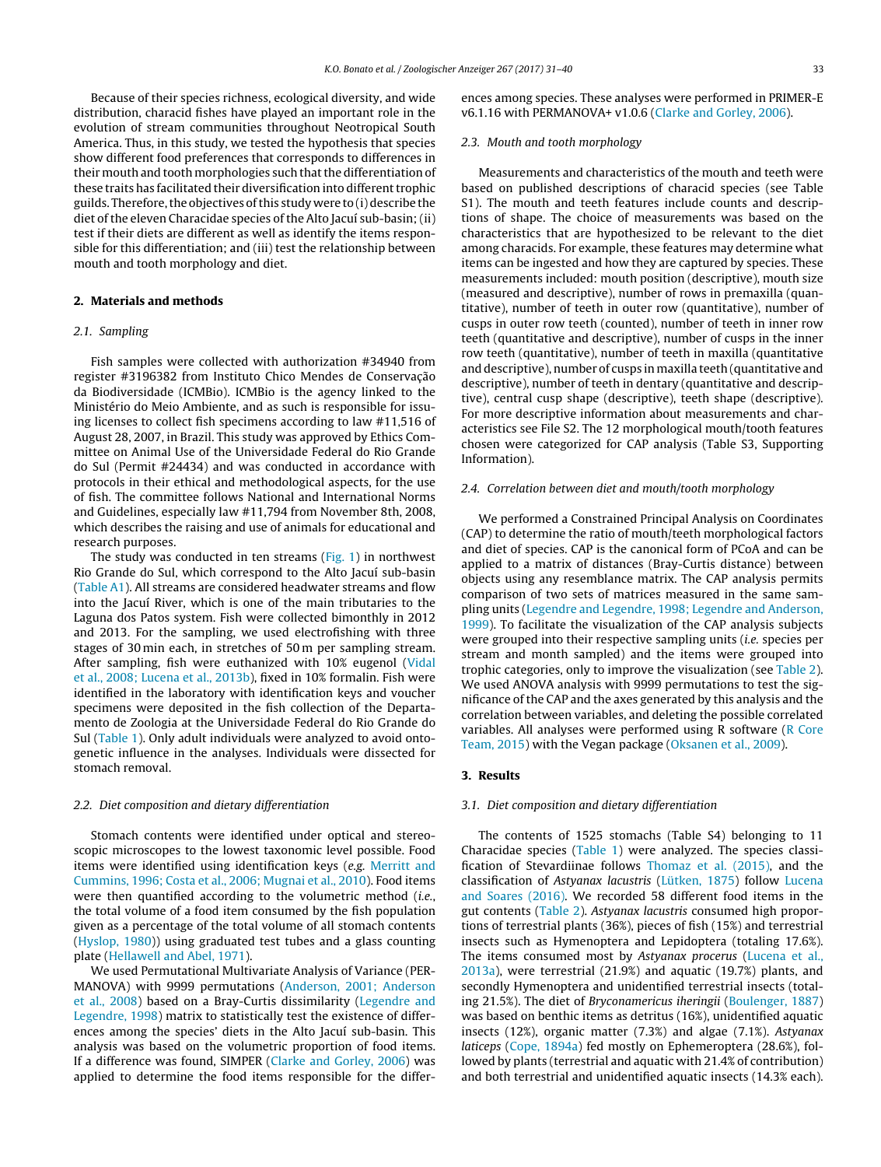Because of their species richness, ecological diversity, and wide distribution, characid fishes have played an important role in the evolution of stream communities throughout Neotropical South America. Thus, in this study, we tested the hypothesis that species show different food preferences that corresponds to differences in their mouth and tooth morphologies such that the differentiation of these traits has facilitated their diversification into different trophic guilds. Therefore, the objectives of this study were to (i) describe the diet of the eleven Characidae species of the Alto Jacuí sub-basin; (ii) test if their diets are different as well as identify the items responsible for this differentiation; and (iii) test the relationship between mouth and tooth morphology and diet.

# **2. Materials and methods**

# 2.1. Sampling

Fish samples were collected with authorization #34940 from register #3196382 from Instituto Chico Mendes de Conservação da Biodiversidade (ICMBio). ICMBio is the agency linked to the Ministério do Meio Ambiente, and as such is responsible for issuing licenses to collect fish specimens according to law #11,516 of August 28, 2007, in Brazil. This study was approved by Ethics Committee on Animal Use of the Universidade Federal do Rio Grande do Sul (Permit #24434) and was conducted in accordance with protocols in their ethical and methodological aspects, for the use of fish. The committee follows National and International Norms and Guidelines, especially law #11,794 from November 8th, 2008, which describes the raising and use of animals for educational and research purposes.

The study was conducted in ten streams ([Fig.](#page-1-0) 1) in northwest Rio Grande do Sul, which correspond to the Alto Jacuí sub-basin ([Table](#page-7-0) A1). All streams are considered headwater streams and flow into the Jacuí River, which is one of the main tributaries to the Laguna dos Patos system. Fish were collected bimonthly in 2012 and 2013. For the sampling, we used electrofishing with three stages of 30 min each, in stretches of 50 m per sampling stream. After sampling, fish were euthanized with 10% eugenol ([Vidal](#page-9-0) et [al.,](#page-9-0) [2008;](#page-9-0) [Lucena](#page-9-0) et [al.,](#page-9-0) [2013b\),](#page-9-0) fixed in 10% formalin. Fish were identified in the laboratory with identification keys and voucher specimens were deposited in the fish collection of the Departamento de Zoologia at the Universidade Federal do Rio Grande do Sul ([Table](#page-1-0) 1). Only adult individuals were analyzed to avoid ontogenetic influence in the analyses. Individuals were dissected for stomach removal.

#### 2.2. Diet composition and dietary differentiation

Stomach contents were identified under optical and stereoscopic microscopes to the lowest taxonomic level possible. Food items were identified using identification keys (e.g. [Merritt](#page-8-0) [and](#page-8-0) [Cummins,](#page-8-0) [1996;](#page-8-0) [Costa](#page-8-0) et [al.,](#page-8-0) [2006;](#page-8-0) [Mugnai](#page-8-0) et [al.,](#page-8-0) [2010\).](#page-8-0) Food items were then quantified according to the volumetric method (i.e., the total volume of a food item consumed by the fish population given as a percentage of the total volume of all stomach contents ([Hyslop,](#page-8-0) [1980\)\)](#page-8-0) using graduated test tubes and a glass counting plate [\(Hellawell](#page-8-0) [and](#page-8-0) [Abel,](#page-8-0) [1971\).](#page-8-0)

We used Permutational Multivariate Analysis of Variance (PER-MANOVA) with 9999 permutations [\(Anderson,](#page-8-0) [2001;](#page-8-0) [Anderson](#page-8-0) et [al.,](#page-8-0) [2008\)](#page-8-0) based on a Bray-Curtis dissimilarity [\(Legendre](#page-8-0) [and](#page-8-0) [Legendre,](#page-8-0) [1998\)](#page-8-0) matrix to statistically test the existence of differences among the species' diets in the Alto Jacuí sub-basin. This analysis was based on the volumetric proportion of food items. If a difference was found, SIMPER ([Clarke](#page-8-0) [and](#page-8-0) [Gorley,](#page-8-0) [2006\)](#page-8-0) was applied to determine the food items responsible for the differences among species. These analyses were performed in PRIMER-E v6.1.16 with PERMANOVA+ v1.0.6 ([Clarke](#page-8-0) [and](#page-8-0) [Gorley,](#page-8-0) [2006\).](#page-8-0)

## 2.3. Mouth and tooth morphology

Measurements and characteristics of the mouth and teeth were based on published descriptions of characid species (see Table S1). The mouth and teeth features include counts and descriptions of shape. The choice of measurements was based on the characteristics that are hypothesized to be relevant to the diet among characids. For example, these features may determine what items can be ingested and how they are captured by species. These measurements included: mouth position (descriptive), mouth size (measured and descriptive), number of rows in premaxilla (quantitative), number of teeth in outer row (quantitative), number of cusps in outer row teeth (counted), number of teeth in inner row teeth (quantitative and descriptive), number of cusps in the inner row teeth (quantitative), number of teeth in maxilla (quantitative and descriptive), number of cusps inmaxilla teeth (quantitative and descriptive), number of teeth in dentary (quantitative and descriptive), central cusp shape (descriptive), teeth shape (descriptive). For more descriptive information about measurements and characteristics see File S2. The 12 morphological mouth/tooth features chosen were categorized for CAP analysis (Table S3, Supporting Information).

### 2.4. Correlation between diet and mouth/tooth morphology

We performed a Constrained Principal Analysis on Coordinates (CAP) to determine the ratio of mouth/teeth morphological factors and diet of species. CAP is the canonical form of PCoA and can be applied to a matrix of distances (Bray-Curtis distance) between objects using any resemblance matrix. The CAP analysis permits comparison of two sets of matrices measured in the same sampling units [\(Legendre](#page-8-0) [and](#page-8-0) [Legendre,](#page-8-0) [1998;](#page-8-0) [Legendre](#page-8-0) [and](#page-8-0) [Anderson,](#page-8-0) [1999\).](#page-8-0) To facilitate the visualization of the CAP analysis subjects were grouped into their respective sampling units (i.e. species per stream and month sampled) and the items were grouped into trophic categories, only to improve the visualization (see [Table](#page-3-0) 2). We used ANOVA analysis with 9999 permutations to test the significance of the CAP and the axes generated by this analysis and the correlation between variables, and deleting the possible correlated variables. All analyses were performed using R software [\(R](#page-9-0) [Core](#page-9-0) [Team,](#page-9-0) [2015\)](#page-9-0) with the Vegan package ([Oksanen](#page-8-0) et [al.,](#page-8-0) [2009\).](#page-8-0)

### **3. Results**

#### 3.1. Diet composition and dietary differentiation

The contents of 1525 stomachs (Table S4) belonging to 11 Characidae species [\(Table](#page-1-0) 1) were analyzed. The species classification of Stevardiinae follows [Thomaz](#page-9-0) et [al.](#page-9-0) [\(2015\),](#page-9-0) and the classification of Astyanax lacustris [\(Lütken,](#page-8-0) [1875\)](#page-8-0) follow [Lucena](#page-8-0) [and](#page-8-0) [Soares](#page-8-0) [\(2016\).](#page-8-0) We recorded 58 different food items in the gut contents ([Table](#page-3-0) 2). Astyanax lacustris consumed high proportions of terrestrial plants (36%), pieces of fish (15%) and terrestrial insects such as Hymenoptera and Lepidoptera (totaling 17.6%). The items consumed most by Astyanax procerus ([Lucena](#page-8-0) et [al.,](#page-8-0) [2013a\),](#page-8-0) were terrestrial (21.9%) and aquatic (19.7%) plants, and secondly Hymenoptera and unidentified terrestrial insects (totaling 21.5%). The diet of Bryconamericus iheringii [\(Boulenger,](#page-8-0) [1887\)](#page-8-0) was based on benthic items as detritus (16%), unidentified aquatic insects (12%), organic matter (7.3%) and algae (7.1%). Astyanax laticeps ([Cope,](#page-8-0) [1894a\)](#page-8-0) fed mostly on Ephemeroptera (28.6%), followed by plants (terrestrial and aquatic with 21.4% of contribution) and both terrestrial and unidentified aquatic insects (14.3% each).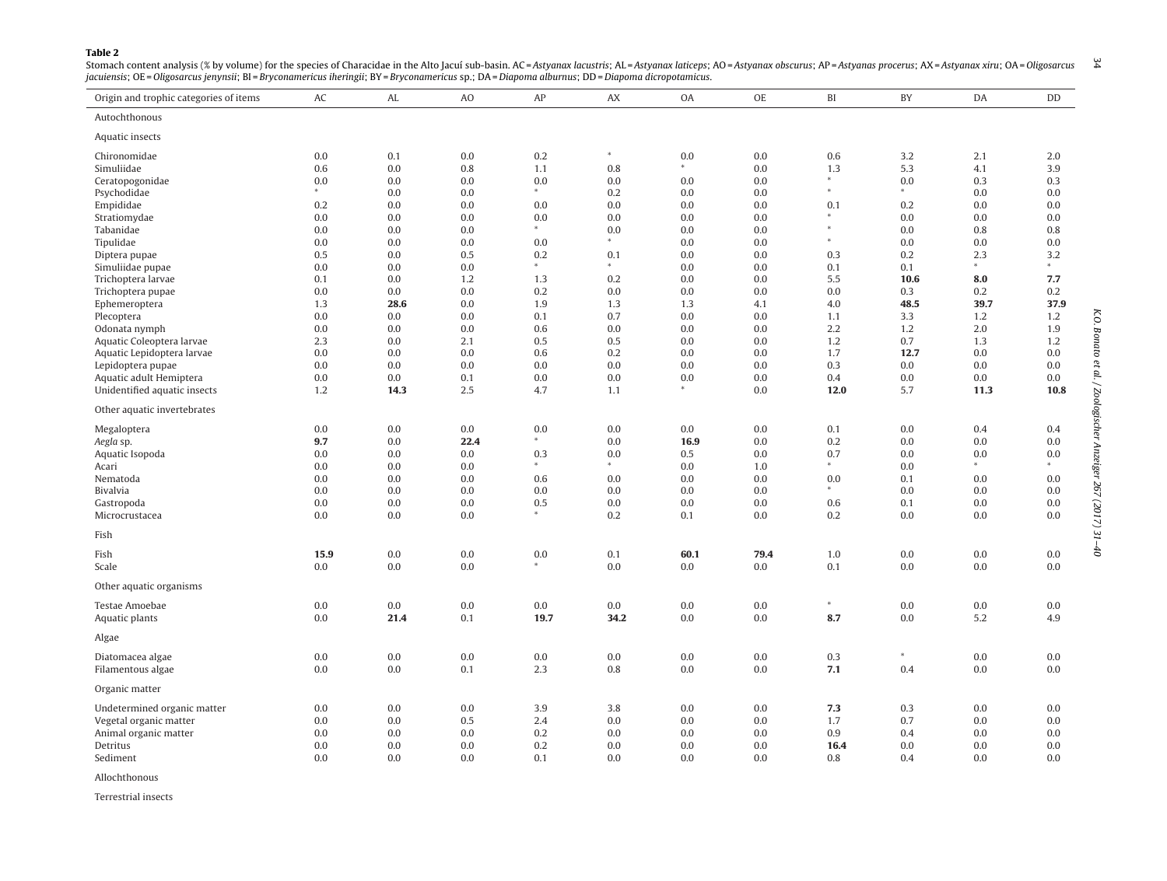#### <span id="page-3-0"></span>**Table 2**

| Origin and trophic categories of items | AC         | AL          | A <sub>O</sub> | AP              | AX              | <b>OA</b>  | OE                 | BI     | BY             | DA         | DD             |
|----------------------------------------|------------|-------------|----------------|-----------------|-----------------|------------|--------------------|--------|----------------|------------|----------------|
| Autochthonous                          |            |             |                |                 |                 |            |                    |        |                |            |                |
| Aquatic insects                        |            |             |                |                 |                 |            |                    |        |                |            |                |
| Chironomidae                           | 0.0        | 0.1         | 0.0            | 0.2             | $\ast$          | 0.0        | 0.0                | 0.6    | 3.2            | 2.1        | 2.0            |
| Simuliidae                             | 0.6        | 0.0         | 0.8            | 1.1             | 0.8             |            | $0.0\,$            | 1.3    | 5.3            | 4.1        | 3.9            |
| Ceratopogonidae                        | 0.0        | 0.0         | 0.0            | $0.0\,$         | 0.0             | 0.0        | 0.0                | $\ast$ | 0.0            | 0.3        | 0.3            |
| Psychodidae                            |            | 0.0         | 0.0            | $*$             | 0.2             | 0.0        | 0.0                | $\ast$ | $\ast$         | 0.0        | 0.0            |
| Empididae                              | 0.2        | 0.0         | 0.0            | 0.0             | 0.0             | 0.0        | 0.0                | 0.1    | 0.2            | 0.0        | 0.0            |
| Stratiomydae                           | 0.0        | 0.0         | 0.0            | 0.0             | 0.0             | 0.0        | 0.0                | $\ast$ | 0.0            | 0.0        | 0.0            |
| Tabanidae                              | 0.0        | 0.0         | 0.0            |                 | 0.0             | 0.0        | 0.0                |        | 0.0            | 0.8        | 0.8            |
| Tipulidae                              | 0.0        | 0.0         | 0.0            | 0.0             |                 | 0.0        | 0.0                | $\ast$ | 0.0            | 0.0        | 0.0            |
| Diptera pupae                          | 0.5        | 0.0         | 0.5            | 0.2             | 0.1             | 0.0        | 0.0                | 0.3    | 0.2            | 2.3        | 3.2            |
| Simuliidae pupae                       | 0.0        | 0.0         | 0.0            |                 |                 | 0.0        | 0.0                | 0.1    | 0.1            | $\ast$     | $\ast$         |
| Trichoptera larvae                     | 0.1        | 0.0         | 1.2            | 1.3             | 0.2             | 0.0        | 0.0                | 5.5    | 10.6           | 8.0        | 7.7            |
| Trichoptera pupae                      | 0.0        | 0.0         | 0.0            | 0.2             | 0.0             | 0.0        | 0.0                | 0.0    | 0.3            | 0.2        | 0.2            |
| Ephemeroptera                          | 1.3        | 28.6        | 0.0            | 1.9             | 1.3             | 1.3        | 4.1                | 4.0    | 48.5           | 39.7       | 37.9           |
| Plecoptera                             | 0.0        | 0.0         | 0.0            | 0.1             | 0.7             | 0.0        | 0.0                | 1.1    | 3.3            | 1.2        | 1.2            |
| Odonata nymph                          | 0.0        | 0.0         | 0.0            | 0.6             | 0.0             | 0.0        | 0.0                | 2.2    | 1.2            | 2.0        | 1.9            |
| Aquatic Coleoptera larvae              | 2.3        | 0.0         | 2.1            | 0.5             | 0.5             | 0.0        | 0.0                | 1.2    | 0.7            | 1.3        | 1.2            |
| Aquatic Lepidoptera larvae             | 0.0        | 0.0         | 0.0            | 0.6             | 0.2             | 0.0        | 0.0                | 1.7    | 12.7           | 0.0        | 0.0            |
| Lepidoptera pupae                      | 0.0        | 0.0         | 0.0            | $0.0\,$         | 0.0             | 0.0        | 0.0                | 0.3    | 0.0            | 0.0        | 0.0            |
| Aquatic adult Hemiptera                | 0.0        | 0.0         | 0.1            | $0.0\,$         | 0.0             | 0.0        | 0.0                | 0.4    | 0.0            | 0.0        | 0.0            |
| Unidentified aquatic insects           | 1.2        | 14.3        | 2.5            | 4.7             | 1.1             |            | 0.0                | $12.0$ | 5.7            | 11.3       | 10.8           |
| Other aquatic invertebrates            |            |             |                |                 |                 |            |                    |        |                |            |                |
| Megaloptera                            | 0.0        | 0.0         | 0.0            | $0.0\,$         | 0.0             | 0.0        | 0.0                | 0.1    | 0.0            | 0.4        | 0.4            |
| Aegla sp.                              | 9.7        | 0.0         | 22.4           |                 | 0.0             | 16.9       | 0.0                | 0.2    | 0.0            | 0.0        | 0.0            |
| Aquatic Isopoda                        | 0.0        | 0.0         | 0.0            | 0.3             | 0.0             | 0.5        | 0.0                | 0.7    | 0.0            | 0.0        | 0.0            |
| Acari                                  | 0.0        | 0.0         | 0.0            | $*$             | $\ast$          | 0.0        | 1.0                | $\ast$ | 0.0            | $\ast$     | $*$            |
| Nematoda                               | 0.0        | $0.0\,$     | 0.0            | 0.6             | 0.0             | 0.0        | $0.0\,$            | 0.0    | 0.1            | 0.0        | 0.0            |
| Bivalvia                               | 0.0        | 0.0         | 0.0            | 0.0             | 0.0             | 0.0        | 0.0                | $\ast$ | 0.0            | 0.0        | 0.0            |
| Gastropoda                             | 0.0        | 0.0         | 0.0            | 0.5             | 0.0             | 0.0        | 0.0                | 0.6    | 0.1            | 0.0        | 0.0            |
| Microcrustacea                         | 0.0        | 0.0         | 0.0            |                 | 0.2             | 0.1        | 0.0                | 0.2    | 0.0            | 0.0        | 0.0            |
| Fish                                   |            |             |                |                 |                 |            |                    |        |                |            |                |
| Fish                                   | 15.9       | 0.0         | 0.0            | 0.0             | 0.1             | 60.1       | 79.4               | 1.0    | 0.0            | 0.0        | 0.0            |
| Scale                                  | 0.0        | 0.0         | 0.0            | $\ast$          | 0.0             | 0.0        | 0.0                | 0.1    | 0.0            | 0.0        | 0.0            |
| Other aquatic organisms                |            |             |                |                 |                 |            |                    |        |                |            |                |
|                                        |            |             |                |                 |                 |            |                    | $\ast$ |                |            |                |
| Testae Amoebae<br>Aquatic plants       | 0.0<br>0.0 | 0.0<br>21.4 | 0.0<br>0.1     | $0.0\,$<br>19.7 | $0.0\,$<br>34.2 | 0.0<br>0.0 | $0.0\,$<br>$0.0\,$ | 8.7    | 0.0<br>$0.0\,$ | 0.0<br>5.2 | $0.0\,$<br>4.9 |
| Algae                                  |            |             |                |                 |                 |            |                    |        |                |            |                |
|                                        | 0.0        | 0.0         | 0.0            | $0.0\,$         | 0.0             | 0.0        | 0.0                | 0.3    | *              | 0.0        | 0.0            |
| Diatomacea algae                       | 0.0        | 0.0         | 0.1            | 2.3             | 0.8             | 0.0        | 0.0                | 7.1    | 0.4            | 0.0        | 0.0            |
| Filamentous algae                      |            |             |                |                 |                 |            |                    |        |                |            |                |
| Organic matter                         |            |             |                |                 |                 |            |                    |        |                |            |                |
| Undetermined organic matter            | 0.0        | 0.0         | 0.0            | 3.9             | 3.8             | 0.0        | 0.0                | 7.3    | 0.3            | 0.0        | 0.0            |
| Vegetal organic matter                 | 0.0        | 0.0         | 0.5            | 2.4             | 0.0             | 0.0        | 0.0                | 1.7    | 0.7            | 0.0        | 0.0            |
| Animal organic matter                  | 0.0        | 0.0         | 0.0            | 0.2             | 0.0             | 0.0        | 0.0                | 0.9    | 0.4            | 0.0        | 0.0            |
| Detritus                               | 0.0        | 0.0         | 0.0            | 0.2             | 0.0             | 0.0        | 0.0                | 16.4   | 0.0            | 0.0        | 0.0            |
| Sediment                               | 0.0        | 0.0         | 0.0            | 0.1             | 0.0             | 0.0        | 0.0                | 0.8    | 0.4            | 0.0        | 0.0            |
|                                        |            |             |                |                 |                 |            |                    |        |                |            |                |

& Stomach content analysis (% by volume) for the species of Characidae in the Alto Jacuí sub-basin. AC=Astyanax lacustris; AL=Astyanax laticeps; AO = Astyanax obscurus; AP=Astyanas procerus; AX=Astyanax xiru; OA=Oligosar jacuiensis; OE <sup>=</sup> Oligosarcus jenynsii; BI <sup>=</sup> Bryconamericus iheringii; BY <sup>=</sup> Bryconamericus sp.; DA= Diapoma alburnus; DD <sup>=</sup> Diapoma dicropotamicus.

Allochthonous

Terrestrial insects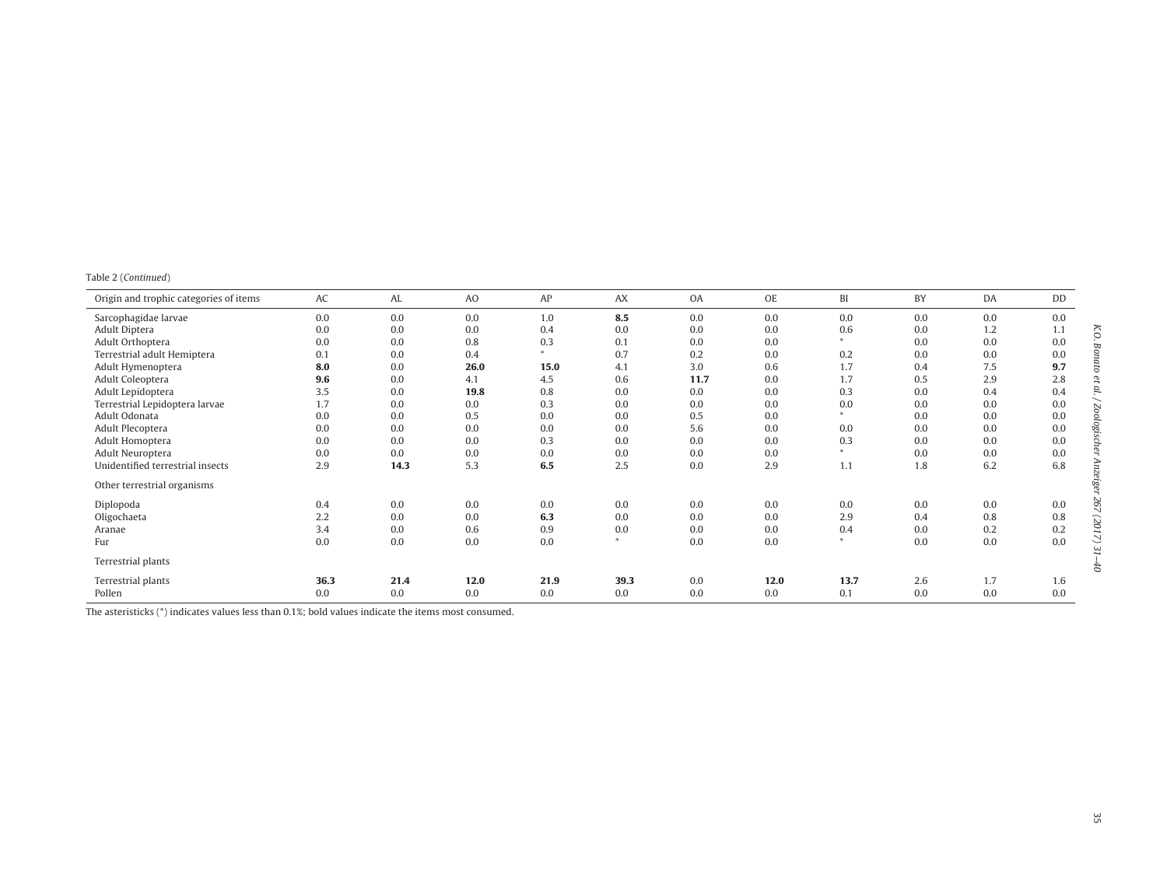|  | Table 2 (Continued) |  |
|--|---------------------|--|
|--|---------------------|--|

| Origin and trophic categories of items | AC   | AL   | A <sub>O</sub> | AP     | <b>AX</b> | OA   | <b>OE</b> | BI      | BY  | DA  | DD  |
|----------------------------------------|------|------|----------------|--------|-----------|------|-----------|---------|-----|-----|-----|
| Sarcophagidae larvae                   | 0.0  | 0.0  | 0.0            | 1.0    | 8.5       | 0.0  | 0.0       | 0.0     | 0.0 | 0.0 | 0.0 |
| Adult Diptera                          | 0.0  | 0.0  | 0.0            | 0.4    | 0.0       | 0.0  | 0.0       | 0.6     | 0.0 | 1.2 | 1.1 |
| Adult Orthoptera                       | 0.0  | 0.0  | 0.8            | 0.3    | 0.1       | 0.0  | 0.0       | $\ast$  | 0.0 | 0.0 | 0.0 |
| Terrestrial adult Hemiptera            | 0.1  | 0.0  | 0.4            | $\ast$ | 0.7       | 0.2  | 0.0       | 0.2     | 0.0 | 0.0 | 0.0 |
| Adult Hymenoptera                      | 8.0  | 0.0  | 26.0           | 15.0   | 4.1       | 3.0  | 0.6       | 1.7     | 0.4 | 7.5 | 9.7 |
| Adult Coleoptera                       | 9.6  | 0.0  | 4.1            | 4.5    | 0.6       | 11.7 | 0.0       | 1.7     | 0.5 | 2.9 | 2.8 |
| Adult Lepidoptera                      | 3.5  | 0.0  | 19.8           | 0.8    | 0.0       | 0.0  | 0.0       | 0.3     | 0.0 | 0.4 | 0.4 |
| Terrestrial Lepidoptera larvae         | 1.7  | 0.0  | 0.0            | 0.3    | 0.0       | 0.0  | 0.0       | 0.0     | 0.0 | 0.0 | 0.0 |
| Adult Odonata                          | 0.0  | 0.0  | 0.5            | 0.0    | 0.0       | 0.5  | 0.0       | $\star$ | 0.0 | 0.0 | 0.0 |
| Adult Plecoptera                       | 0.0  | 0.0  | 0.0            | 0.0    | 0.0       | 5.6  | 0.0       | 0.0     | 0.0 | 0.0 | 0.0 |
| Adult Homoptera                        | 0.0  | 0.0  | 0.0            | 0.3    | 0.0       | 0.0  | 0.0       | 0.3     | 0.0 | 0.0 | 0.0 |
| Adult Neuroptera                       | 0.0  | 0.0  | 0.0            | 0.0    | 0.0       | 0.0  | 0.0       | $\ast$  | 0.0 | 0.0 | 0.0 |
| Unidentified terrestrial insects       | 2.9  | 14.3 | 5.3            | 6.5    | 2.5       | 0.0  | 2.9       | 1.1     | 1.8 | 6.2 | 6.8 |
| Other terrestrial organisms            |      |      |                |        |           |      |           |         |     |     |     |
| Diplopoda                              | 0.4  | 0.0  | 0.0            | 0.0    | 0.0       | 0.0  | 0.0       | 0.0     | 0.0 | 0.0 | 0.0 |
| Oligochaeta                            | 2.2  | 0.0  | 0.0            | 6.3    | 0.0       | 0.0  | 0.0       | 2.9     | 0.4 | 0.8 | 0.8 |
| Aranae                                 | 3.4  | 0.0  | 0.6            | 0.9    | 0.0       | 0.0  | 0.0       | 0.4     | 0.0 | 0.2 | 0.2 |
| Fur                                    | 0.0  | 0.0  | 0.0            | 0.0    | $\star$   | 0.0  | 0.0       | $\ast$  | 0.0 | 0.0 | 0.0 |
| Terrestrial plants                     |      |      |                |        |           |      |           |         |     |     |     |
| Terrestrial plants                     | 36.3 | 21.4 | 12.0           | 21.9   | 39.3      | 0.0  | 12.0      | 13.7    | 2.6 | 1.7 | 1.6 |
| Pollen                                 | 0.0  | 0.0  | 0.0            | 0.0    | 0.0       | 0.0  | 0.0       | 0.1     | 0.0 | 0.0 | 0.0 |

The asteristicks (\*) indicates values less than 0.1%; bold values indicate the items most consumed.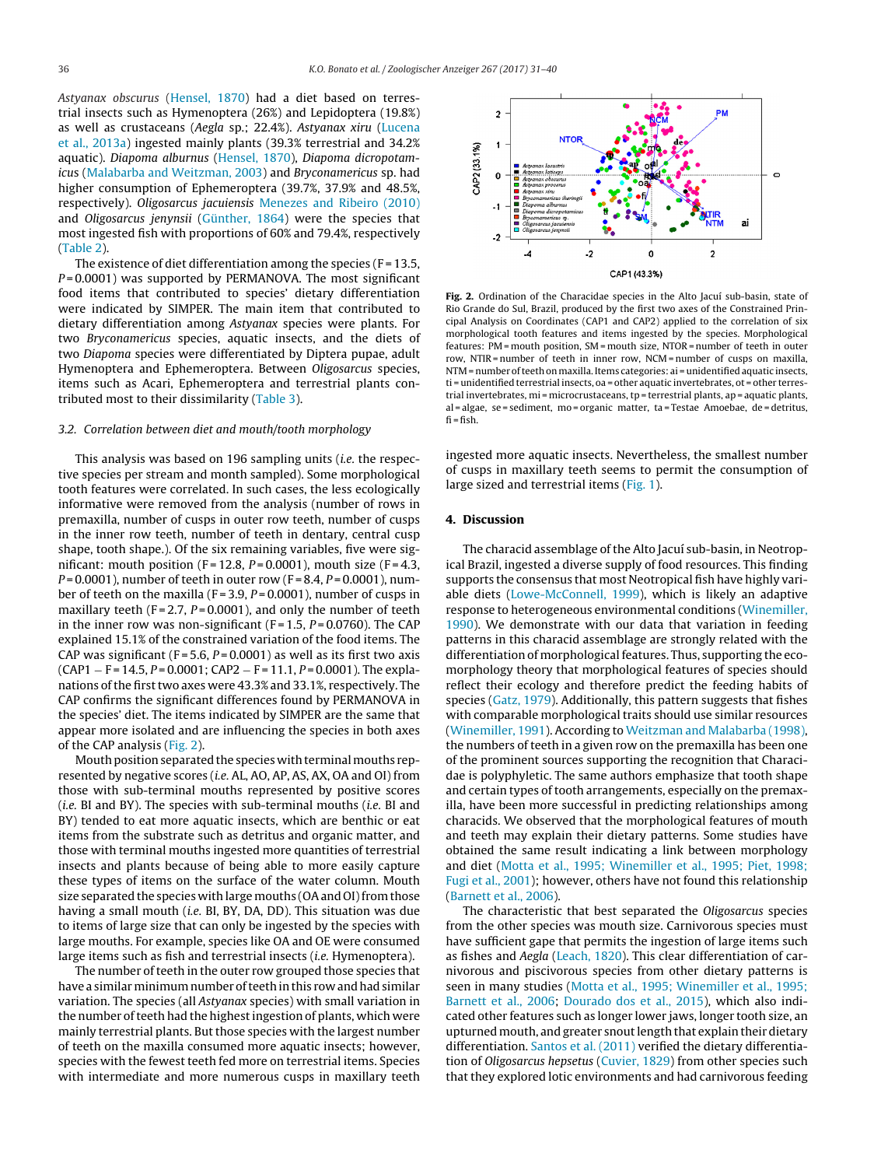Astyanax obscurus ([Hensel,](#page-8-0) [1870\)](#page-8-0) had a diet based on terrestrial insects such as Hymenoptera (26%) and Lepidoptera (19.8%) as well as crustaceans (Aegla sp.; 22.4%). Astyanax xiru ([Lucena](#page-8-0) et [al.,](#page-8-0) [2013a\)](#page-8-0) ingested mainly plants (39.3% terrestrial and 34.2% aquatic). Diapoma alburnus [\(Hensel,](#page-8-0) [1870\),](#page-8-0) Diapoma dicropotamicus ([Malabarba](#page-8-0) [and](#page-8-0) [Weitzman,](#page-8-0) [2003\)](#page-8-0) and Bryconamericus sp. had higher consumption of Ephemeroptera (39.7%, 37.9% and 48.5%, respectively). Oligosarcus jacuiensis [Menezes](#page-8-0) [and](#page-8-0) [Ribeiro](#page-8-0) [\(2010\)](#page-8-0) and Oligosarcus jenynsii [\(Günther,](#page-8-0) [1864\)](#page-8-0) were the species that most ingested fish with proportions of 60% and 79.4%, respectively ([Table](#page-3-0) 2).

The existence of diet differentiation among the species  $(F = 13.5,$  $P = 0.0001$ ) was supported by PERMANOVA. The most significant food items that contributed to species' dietary differentiation were indicated by SIMPER. The main item that contributed to dietary differentiation among Astyanax species were plants. For two Bryconamericus species, aquatic insects, and the diets of two Diapoma species were differentiated by Diptera pupae, adult Hymenoptera and Ephemeroptera. Between Oligosarcus species, items such as Acari, Ephemeroptera and terrestrial plants contributed most to their dissimilarity ([Table](#page-6-0) 3).

#### 3.2. Correlation between diet and mouth/tooth morphology

This analysis was based on 196 sampling units (i.e. the respective species per stream and month sampled). Some morphological tooth features were correlated. In such cases, the less ecologically informative were removed from the analysis (number of rows in premaxilla, number of cusps in outer row teeth, number of cusps in the inner row teeth, number of teeth in dentary, central cusp shape, tooth shape.). Of the six remaining variables, five were significant: mouth position (F = 12.8,  $P = 0.0001$ ), mouth size (F = 4.3,  $P = 0.0001$ ), number of teeth in outer row (F = 8.4, P = 0.0001), number of teeth on the maxilla ( $F = 3.9$ ,  $P = 0.0001$ ), number of cusps in maxillary teeth ( $F = 2.7$ ,  $P = 0.0001$ ), and only the number of teeth in the inner row was non-significant (F=1.5,  $P = 0.0760$ ). The CAP explained 15.1% of the constrained variation of the food items. The CAP was significant (F = 5.6,  $P = 0.0001$ ) as well as its first two axis  $(CAP1 - F = 14.5, P = 0.0001; CAP2 - F = 11.1, P = 0.0001$ ). The explanations of the first two axes were 43.3% and 33.1%, respectively. The CAP confirms the significant differences found by PERMANOVA in the species' diet. The items indicated by SIMPER are the same that appear more isolated and are influencing the species in both axes of the CAP analysis (Fig. 2).

Mouth position separated the species with terminal mouths represented by negative scores (i.e. AL, AO, AP, AS, AX, OA and OI) from those with sub-terminal mouths represented by positive scores (i.e. BI and BY). The species with sub-terminal mouths (i.e. BI and BY) tended to eat more aquatic insects, which are benthic or eat items from the substrate such as detritus and organic matter, and those with terminal mouths ingested more quantities of terrestrial insects and plants because of being able to more easily capture these types of items on the surface of the water column. Mouth size separated the species with large mouths (OA and OI) from those having a small mouth (i.e. BI, BY, DA, DD). This situation was due to items of large size that can only be ingested by the species with large mouths. For example, species like OA and OE were consumed large items such as fish and terrestrial insects (i.e. Hymenoptera).

The number of teeth in the outer row grouped those species that have a similar minimum number of teeth in this row and had similar variation. The species (all Astyanax species) with small variation in the number of teeth had the highest ingestion of plants, which were mainly terrestrial plants. But those species with the largest number of teeth on the maxilla consumed more aquatic insects; however, species with the fewest teeth fed more on terrestrial items. Species with intermediate and more numerous cusps in maxillary teeth



**Fig. 2.** Ordination of the Characidae species in the Alto Jacuí sub-basin, state of Rio Grande do Sul, Brazil, produced by the first two axes of the Constrained Principal Analysis on Coordinates (CAP1 and CAP2) applied to the correlation of six morphological tooth features and items ingested by the species. Morphological features: PM = mouth position, SM = mouth size, NTOR = number of teeth in outer row, NTIR = number of teeth in inner row, NCM = number of cusps on maxilla, NTM = number of teeth on maxilla. Items categories: ai = unidentified aquatic insects, ti = unidentified terrestrial insects, oa = other aquatic invertebrates, ot = other terrestrial invertebrates, mi = microcrustaceans, tp = terrestrial plants, ap = aquatic plants, al = algae, se = sediment, mo = organic matter, ta = Testae Amoebae, de = detritus,  $fi = fish$ .

ingested more aquatic insects. Nevertheless, the smallest number of cusps in maxillary teeth seems to permit the consumption of large sized and terrestrial items [\(Fig.](#page-1-0) 1).

### **4. Discussion**

The characid assemblage of the Alto Jacuí sub-basin, in Neotropical Brazil, ingested a diverse supply of food resources. This finding supports the consensus that most Neotropical fish have highly variable diets ([Lowe-McConnell,](#page-8-0) [1999\),](#page-8-0) which is likely an adaptive response to heterogeneous environmental conditions ([Winemiller,](#page-9-0) [1990\).](#page-9-0) We demonstrate with our data that variation in feeding patterns in this characid assemblage are strongly related with the differentiation of morphological features. Thus, supporting the ecomorphology theory that morphological features of species should reflect their ecology and therefore predict the feeding habits of species [\(Gatz,](#page-8-0) [1979\).](#page-8-0) Additionally, this pattern suggests that fishes with comparable morphological traits should use similar resources [\(Winemiller,](#page-9-0) [1991\).](#page-9-0) According to [Weitzman](#page-9-0) [and](#page-9-0) [Malabarba](#page-9-0) [\(1998\),](#page-9-0) the numbers of teeth in a given row on the premaxilla has been one of the prominent sources supporting the recognition that Characidae is polyphyletic. The same authors emphasize that tooth shape and certain types of tooth arrangements, especially on the premaxilla, have been more successful in predicting relationships among characids. We observed that the morphological features of mouth and teeth may explain their dietary patterns. Some studies have obtained the same result indicating a link between morphology and diet ([Motta](#page-8-0) et [al.,](#page-8-0) [1995;](#page-8-0) [Winemiller](#page-8-0) et [al.,](#page-8-0) [1995;](#page-8-0) [Piet,](#page-8-0) [1998;](#page-8-0) [Fugi](#page-8-0) et [al.,](#page-8-0) [2001\);](#page-8-0) however, others have not found this relationship [\(Barnett](#page-8-0) et [al.,](#page-8-0) [2006\).](#page-8-0)

The characteristic that best separated the Oligosarcus species from the other species was mouth size. Carnivorous species must have sufficient gape that permits the ingestion of large items such as fishes and Aegla [\(Leach,](#page-8-0) [1820\).](#page-8-0) This clear differentiation of carnivorous and piscivorous species from other dietary patterns is seen in many studies [\(Motta](#page-8-0) et [al.,](#page-8-0) [1995;](#page-8-0) [Winemiller](#page-8-0) et [al.,](#page-8-0) [1995;](#page-8-0) [Barnett](#page-8-0) et [al.,](#page-8-0) [2006;](#page-8-0) [Dourado](#page-8-0) [dos](#page-8-0) et [al.,](#page-8-0) [2015\),](#page-8-0) which also indicated other features such as longer lower jaws, longer tooth size, an upturned mouth, and greater snout length that explain their dietary differentiation. [Santos](#page-9-0) et [al.](#page-9-0) [\(2011\)](#page-9-0) verified the dietary differentia-tion of Oligosarcus hepsetus [\(Cuvier,](#page-8-0) [1829\)](#page-8-0) from other species such that they explored lotic environments and had carnivorous feeding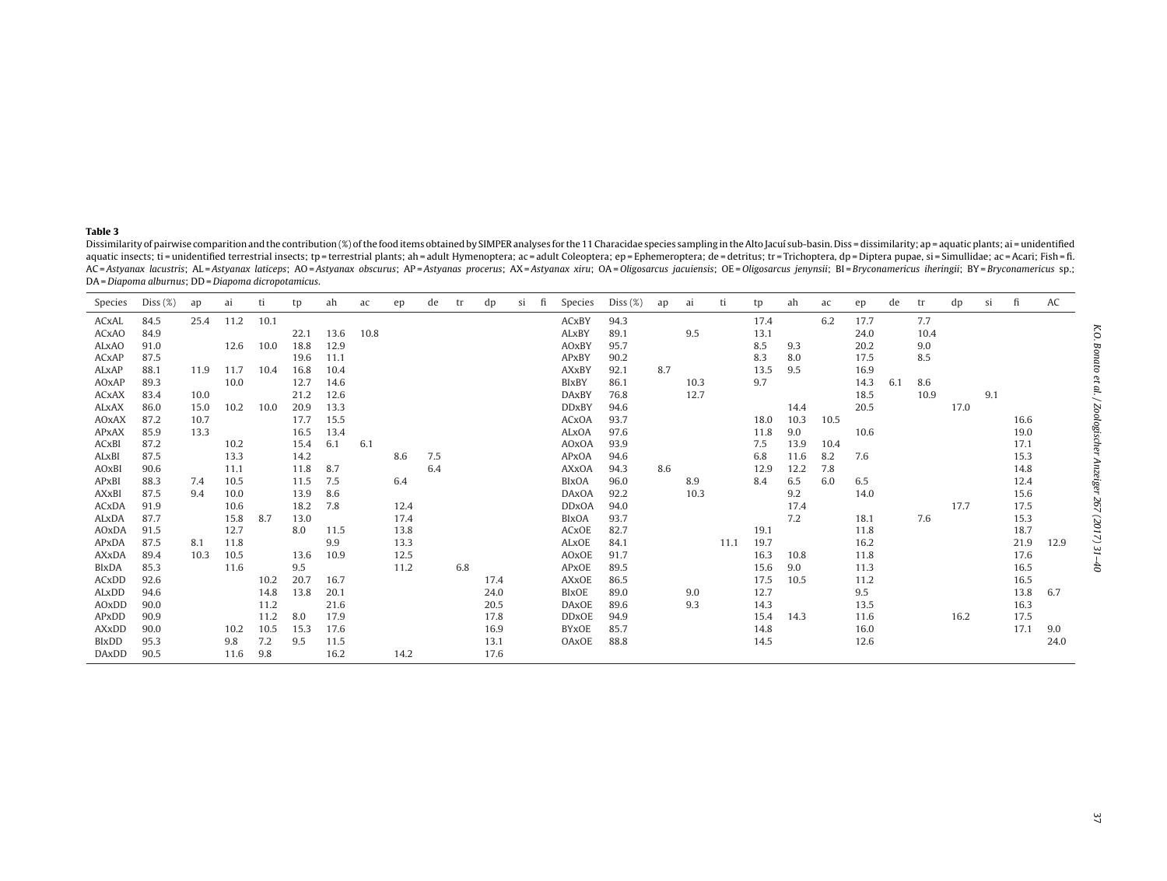#### <span id="page-6-0"></span>**Table 3**

Dissimilarity of pairwise comparition and the contribution (%) of the food items obtained by SIMPER analyses for the 11 Characidae species sampling in the Alto Jacuí sub-basin. Diss = dissimilarity; ap = aquatic plants; ai aquatic insects; ti = unidentified terrestrial insects; tp = terrestrial plants; ah = adult Hymenoptera; ac = adult Coleoptera; ep = Ephemeroptera; de = detritus; tr = Trichoptera, dp = Diptera pupae, si = Simullidae; ac = AC=Astyanax lacustris; AL=Astyanax laticeps; AO=Astyanax obscurus; AP=Astyanas procerus; AX=Astyanax xiru; OA=Oligosarcus jacuiensis; OE=Oligosarcus jenynsii; BI=Bryconamericus iheringii; BY=Bryconamericus sp.; DA= Diapoma alburnus; DD <sup>=</sup> Diapoma dicropotamicus.

| Species      | Diss $(\%)$ | ap   | a1   | ti   | tp   | ah   | ac   | ep   | de  |     | dp   | Sİ | fi | Species      | Diss $(\%)$ | ap  | ai   | ti   | tp   | ah   | ac   | ep   | de  | tr   | dp   | <sub>Si</sub> | fi   | AC   |
|--------------|-------------|------|------|------|------|------|------|------|-----|-----|------|----|----|--------------|-------------|-----|------|------|------|------|------|------|-----|------|------|---------------|------|------|
| ACxAL        | 84.5        | 25.4 | 11.2 | 10.1 |      |      |      |      |     |     |      |    |    | ACxBY        | 94.3        |     |      |      | 17.4 |      | 6.2  | 17.7 |     | 7.7  |      |               |      |      |
| <b>ACxAO</b> | 84.9        |      |      |      | 22.1 | 13.6 | 10.8 |      |     |     |      |    |    | ALxBY        | 89.1        |     | 9.5  |      | 13.1 |      |      | 24.0 |     | 10.4 |      |               |      |      |
| <b>ALxAO</b> | 91.0        |      | 12.6 | 10.0 | 18.8 | 12.9 |      |      |     |     |      |    |    | AOxBY        | 95.7        |     |      |      | 8.5  | 9.3  |      | 20.2 |     | 9.0  |      |               |      |      |
| ACxAP        | 87.5        |      |      |      | 19.6 | 11.1 |      |      |     |     |      |    |    | APxBY        | 90.2        |     |      |      | 8.3  | 8.0  |      | 17.5 |     | 8.5  |      |               |      |      |
| ALxAP        | 88.1        | 11.9 | 11.7 | 10.4 | 16.8 | 10.4 |      |      |     |     |      |    |    | <b>AXxBY</b> | 92.1        | 8.7 |      |      | 13.5 | 9.5  |      | 16.9 |     |      |      |               |      |      |
| AOxAP        | 89.3        |      | 10.0 |      | 12.7 | 14.6 |      |      |     |     |      |    |    | <b>BIxBY</b> | 86.1        |     | 10.3 |      | 9.7  |      |      | 14.3 | 6.1 | 8.6  |      |               |      |      |
| <b>ACxAX</b> | 83.4        | 10.0 |      |      | 21.2 | 12.6 |      |      |     |     |      |    |    | <b>DAxBY</b> | 76.8        |     | 12.7 |      |      |      |      | 18.5 |     | 10.9 |      | 9.1           |      |      |
| <b>ALxAX</b> | 86.0        | 15.0 | 10.2 | 10.0 | 20.9 | 13.3 |      |      |     |     |      |    |    | <b>DDxBY</b> | 94.6        |     |      |      |      | 14.4 |      | 20.5 |     |      | 17.0 |               |      |      |
| <b>AOxAX</b> | 87.2        | 10.7 |      |      | 17.7 | 15.5 |      |      |     |     |      |    |    | <b>ACxOA</b> | 93.7        |     |      |      | 18.0 | 10.3 | 10.5 |      |     |      |      |               | 16.6 |      |
| <b>APxAX</b> | 85.9        | 13.3 |      |      | 16.5 | 13.4 |      |      |     |     |      |    |    | ALxOA        | 97.6        |     |      |      | 11.8 | 9.0  |      | 10.6 |     |      |      |               | 19.0 |      |
| ACxBI        | 87.2        |      | 10.2 |      | 15.4 | 6.1  | 6.1  |      |     |     |      |    |    | <b>AOxOA</b> | 93.9        |     |      |      | 7.5  | 13.9 | 10.4 |      |     |      |      |               | 17.1 |      |
| ALxBI        | 87.5        |      | 13.3 |      | 14.2 |      |      | 8.6  | 7.5 |     |      |    |    | <b>APxOA</b> | 94.6        |     |      |      | 6.8  | 11.6 | 8.2  | 7.6  |     |      |      |               | 15.3 |      |
| AOxBI        | 90.6        |      | 11.1 |      | 11.8 | 8.7  |      |      | 6.4 |     |      |    |    | <b>AXxOA</b> | 94.3        | 8.6 |      |      | 12.9 | 12.2 | 7.8  |      |     |      |      |               | 14.8 |      |
| APxBI        | 88.3        | 7.4  | 10.5 |      | 11.5 | 7.5  |      | 6.4  |     |     |      |    |    | <b>BIxOA</b> | 96.0        |     | 8.9  |      | 8.4  | 6.5  | 6.0  | 6.5  |     |      |      |               | 12.4 |      |
| AXxBI        | 87.5        | 9.4  | 10.0 |      | 13.9 | 8.6  |      |      |     |     |      |    |    | <b>DAxOA</b> | 92.2        |     | 10.3 |      |      | 9.2  |      | 14.0 |     |      |      |               | 15.6 |      |
| <b>ACxDA</b> | 91.9        |      | 10.6 |      | 18.2 | 7.8  |      | 12.4 |     |     |      |    |    | <b>DDxOA</b> | 94.0        |     |      |      |      | 17.4 |      |      |     |      | 17.7 |               | 17.5 |      |
| ALxDA        | 87.7        |      | 15.8 | 8.7  | 13.0 |      |      | 17.4 |     |     |      |    |    | <b>BIxOA</b> | 93.7        |     |      |      |      | 7.2  |      | 18.1 |     | 7.6  |      |               | 15.3 |      |
| AOxDA        | 91.5        |      | 12.7 |      | 8.0  | 11.5 |      | 13.8 |     |     |      |    |    | <b>ACxOE</b> | 82.7        |     |      |      | 19.1 |      |      | 11.8 |     |      |      |               | 18.7 |      |
| APxDA        | 87.5        | 8.1  | 11.8 |      |      | 9.9  |      | 13.3 |     |     |      |    |    | <b>ALxOE</b> | 84.1        |     |      | 11.1 | 19.7 |      |      | 16.2 |     |      |      |               | 21.9 | 12.9 |
| <b>AXxDA</b> | 89.4        | 10.3 | 10.5 |      | 13.6 | 10.9 |      | 12.5 |     |     |      |    |    | AOxOE        | 91.7        |     |      |      | 16.3 | 10.8 |      | 11.8 |     |      |      |               | 17.6 |      |
| <b>BIxDA</b> | 85.3        |      | 11.6 |      | 9.5  |      |      | 11.2 |     | 6.8 |      |    |    | <b>APxOE</b> | 89.5        |     |      |      | 15.6 | 9.0  |      | 11.3 |     |      |      |               | 16.5 |      |
| <b>ACxDD</b> | 92.6        |      |      | 10.2 | 20.7 | 16.7 |      |      |     |     | 17.4 |    |    | <b>AXxOE</b> | 86.5        |     |      |      | 17.5 | 10.5 |      | 11.2 |     |      |      |               | 16.5 |      |
| ALxDD        | 94.6        |      |      | 14.8 | 13.8 | 20.1 |      |      |     |     | 24.0 |    |    | <b>BIxOE</b> | 89.0        |     | 9.0  |      | 12.7 |      |      | 9.5  |     |      |      |               | 13.8 | 6.7  |
| <b>AOxDD</b> | 90.0        |      |      | 11.2 |      | 21.6 |      |      |     |     | 20.5 |    |    | <b>DAxOE</b> | 89.6        |     | 9.3  |      | 14.3 |      |      | 13.5 |     |      |      |               | 16.3 |      |
| APxDD        | 90.9        |      |      | 11.2 | 8.0  | 17.9 |      |      |     |     | 17.8 |    |    | <b>DDxOE</b> | 94.9        |     |      |      | 15.4 | 14.3 |      | 11.6 |     |      | 16.2 |               | 17.5 |      |
| <b>AXxDD</b> | 90.0        |      | 10.2 | 10.5 | 15.3 | 17.6 |      |      |     |     | 16.9 |    |    | <b>BYxOE</b> | 85.7        |     |      |      | 14.8 |      |      | 16.0 |     |      |      |               | 17.1 | 9.0  |
| <b>BIxDD</b> | 95.3        |      | 9.8  | 7.2  | 9.5  | 11.5 |      |      |     |     | 13.1 |    |    | OAxOE        | 88.8        |     |      |      | 14.5 |      |      | 12.6 |     |      |      |               |      | 24.0 |
| <b>DAxDD</b> | 90.5        |      | 11.6 | 9.8  |      | 16.2 |      | 14.2 |     |     | 17.6 |    |    |              |             |     |      |      |      |      |      |      |     |      |      |               |      |      |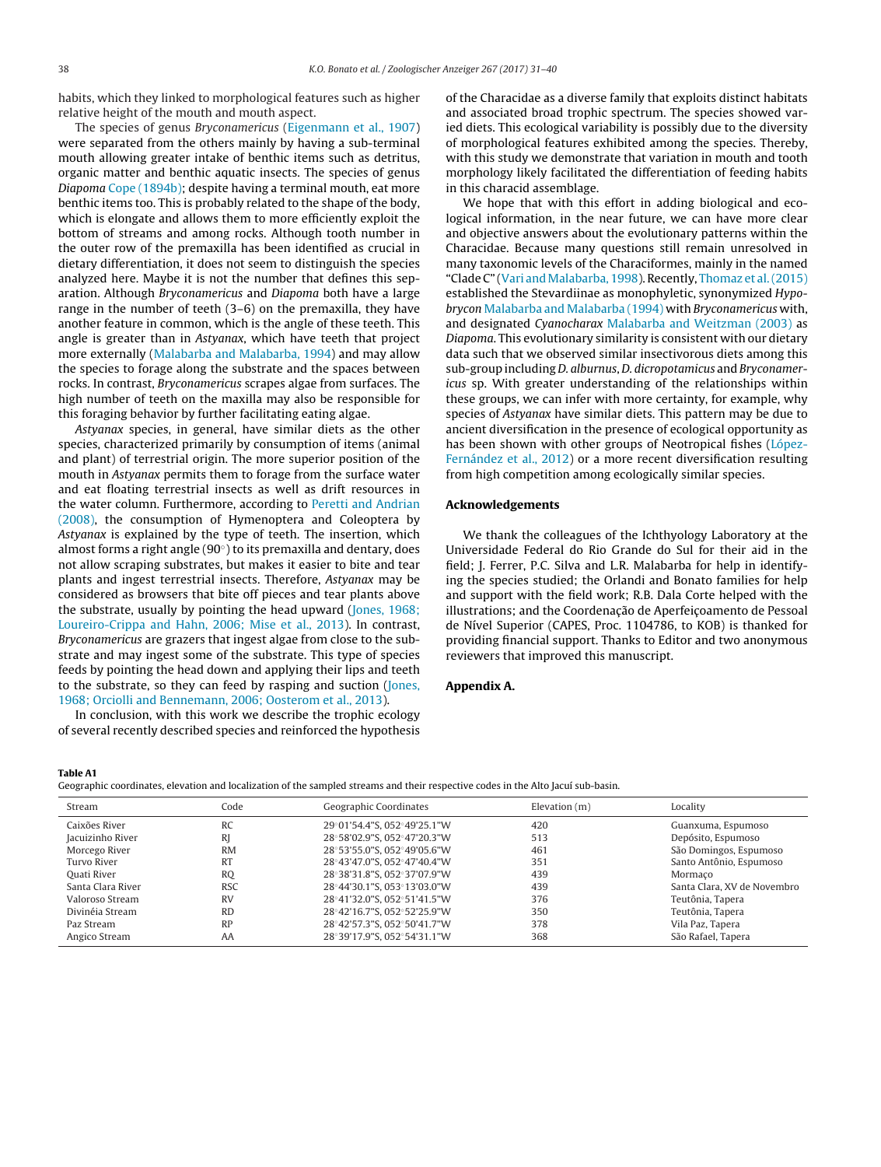<span id="page-7-0"></span>habits, which they linked to morphological features such as higher relative height of the mouth and mouth aspect.

The species of genus Bryconamericus [\(Eigenmann](#page-8-0) et [al.,](#page-8-0) [1907\)](#page-8-0) were separated from the others mainly by having a sub-terminal mouth allowing greater intake of benthic items such as detritus, organic matter and benthic aquatic insects. The species of genus Diapoma [Cope](#page-8-0) [\(1894b\);](#page-8-0) despite having a terminal mouth, eat more benthic items too. This is probably related to the shape of the body, which is elongate and allows them to more efficiently exploit the bottom of streams and among rocks. Although tooth number in the outer row of the premaxilla has been identified as crucial in dietary differentiation, it does not seem to distinguish the species analyzed here. Maybe it is not the number that defines this separation. Although Bryconamericus and Diapoma both have a large range in the number of teeth (3–6) on the premaxilla, they have another feature in common, which is the angle of these teeth. This angle is greater than in Astyanax, which have teeth that project more externally [\(Malabarba](#page-8-0) [and](#page-8-0) [Malabarba,](#page-8-0) [1994\)](#page-8-0) and may allow the species to forage along the substrate and the spaces between rocks. In contrast, Bryconamericus scrapes algae from surfaces. The high number of teeth on the maxilla may also be responsible for this foraging behavior by further facilitating eating algae.

Astyanax species, in general, have similar diets as the other species, characterized primarily by consumption of items (animal and plant) of terrestrial origin. The more superior position of the mouth in Astyanax permits them to forage from the surface water and eat floating terrestrial insects as well as drift resources in the water column. Furthermore, according to [Peretti](#page-9-0) [and](#page-9-0) [Andrian](#page-9-0) [\(2008\),](#page-9-0) the consumption of Hymenoptera and Coleoptera by Astyanax is explained by the type of teeth. The insertion, which almost forms a right angle (90◦) to its premaxilla and dentary, does not allow scraping substrates, but makes it easier to bite and tear plants and ingest terrestrial insects. Therefore, Astyanax may be considered as browsers that bite off pieces and tear plants above the substrate, usually by pointing the head upward [\(Jones,](#page-8-0) [1968;](#page-8-0) [Loureiro-Crippa](#page-8-0) [and](#page-8-0) [Hahn,](#page-8-0) [2006;](#page-8-0) [Mise](#page-8-0) et [al.,](#page-8-0) [2013\).](#page-8-0) In contrast, Bryconamericus are grazers that ingest algae from close to the substrate and may ingest some of the substrate. This type of species feeds by pointing the head down and applying their lips and teeth to the substrate, so they can feed by rasping and suction [\(Jones,](#page-8-0) [1968;](#page-8-0) [Orciolli](#page-8-0) [and](#page-8-0) [Bennemann,](#page-8-0) [2006;](#page-8-0) [Oosterom](#page-8-0) et [al.,](#page-8-0) [2013\).](#page-8-0)

In conclusion, with this work we describe the trophic ecology of several recently described species and reinforced the hypothesis of the Characidae as a diverse family that exploits distinct habitats and associated broad trophic spectrum. The species showed varied diets. This ecological variability is possibly due to the diversity of morphological features exhibited among the species. Thereby, with this study we demonstrate that variation in mouth and tooth morphology likely facilitated the differentiation of feeding habits in this characid assemblage.

We hope that with this effort in adding biological and ecological information, in the near future, we can have more clear and objective answers about the evolutionary patterns within the Characidae. Because many questions still remain unresolved in many taxonomic levels of the Characiformes, mainly in the named "Clade C" [\(Vari](#page-9-0) and Malabarba, [1998\).](#page-9-0) Recently, [Thomaz](#page-9-0) et al. (2015) established the Stevardiinae as monophyletic, synonymized Hypobrycon [Malabarba](#page-8-0) [and](#page-8-0) [Malabarba](#page-8-0) [\(1994\)](#page-8-0) with Bryconamericus with, and designated Cyanocharax [Malabarba](#page-8-0) [and](#page-8-0) [Weitzman](#page-8-0) [\(2003\)](#page-8-0) as Diapoma. This evolutionary similarity is consistent with our dietary data such that we observed similar insectivorous diets among this sub-group including D. alburnus, D. dicropotamicus and Bryconamericus sp. With greater understanding of the relationships within these groups, we can infer with more certainty, for example, why species of Astyanax have similar diets. This pattern may be due to ancient diversification in the presence of ecological opportunity as has been shown with other groups of Neotropical fishes [\(López-](#page-8-0)Fernández et [al.,](#page-8-0) [2012\)](#page-8-0) or a more recent diversification resulting from high competition among ecologically similar species.

#### **Acknowledgements**

We thank the colleagues of the Ichthyology Laboratory at the Universidade Federal do Rio Grande do Sul for their aid in the field; J. Ferrer, P.C. Silva and L.R. Malabarba for help in identifying the species studied; the Orlandi and Bonato families for help and support with the field work; R.B. Dala Corte helped with the illustrations; and the Coordenação de Aperfeiçoamento de Pessoal de Nível Superior (CAPES, Proc. 1104786, to KOB) is thanked for providing financial support. Thanks to Editor and two anonymous reviewers that improved this manuscript.

#### **Appendix A.**

#### **Table A1**

Geographic coordinates, elevation and localization of the sampled streams and their respective codes in the Alto Jacuí sub-basin.

| Stream            | Code       | Geographic Coordinates      | Elevation $(m)$ | Locality                    |
|-------------------|------------|-----------------------------|-----------------|-----------------------------|
| Caixões River     | <b>RC</b>  | 29°01'54.4"S, 052°49'25.1"W | 420             | Guanxuma, Espumoso          |
| Jacuizinho River  | R          | 28°58'02.9"S, 052°47'20.3"W | 513             | Depósito, Espumoso          |
| Morcego River     | <b>RM</b>  | 28°53'55.0"S, 052°49'05.6"W | 461             | São Domingos, Espumoso      |
| Turvo River       | <b>RT</b>  | 28°43'47.0"S, 052°47'40.4"W | 351             | Santo Antônio, Espumoso     |
| Ouati River       | <b>RO</b>  | 28°38'31.8"S, 052°37'07.9"W | 439             | Mormaco                     |
| Santa Clara River | <b>RSC</b> | 28°44'30.1"S, 053°13'03.0"W | 439             | Santa Clara, XV de Novembro |
| Valoroso Stream   | <b>RV</b>  | 28°41'32.0"S, 052°51'41.5"W | 376             | Teutônia, Tapera            |
| Divinéja Stream   | <b>RD</b>  | 28°42'16.7"S, 052°52'25.9"W | 350             | Teutônia, Tapera            |
| Paz Stream        | RP         | 28°42'57.3"S. 052°50'41.7"W | 378             | Vila Paz, Tapera            |
| Angico Stream     | AA         | 28°39'17.9"S, 052°54'31.1"W | 368             | São Rafael, Tapera          |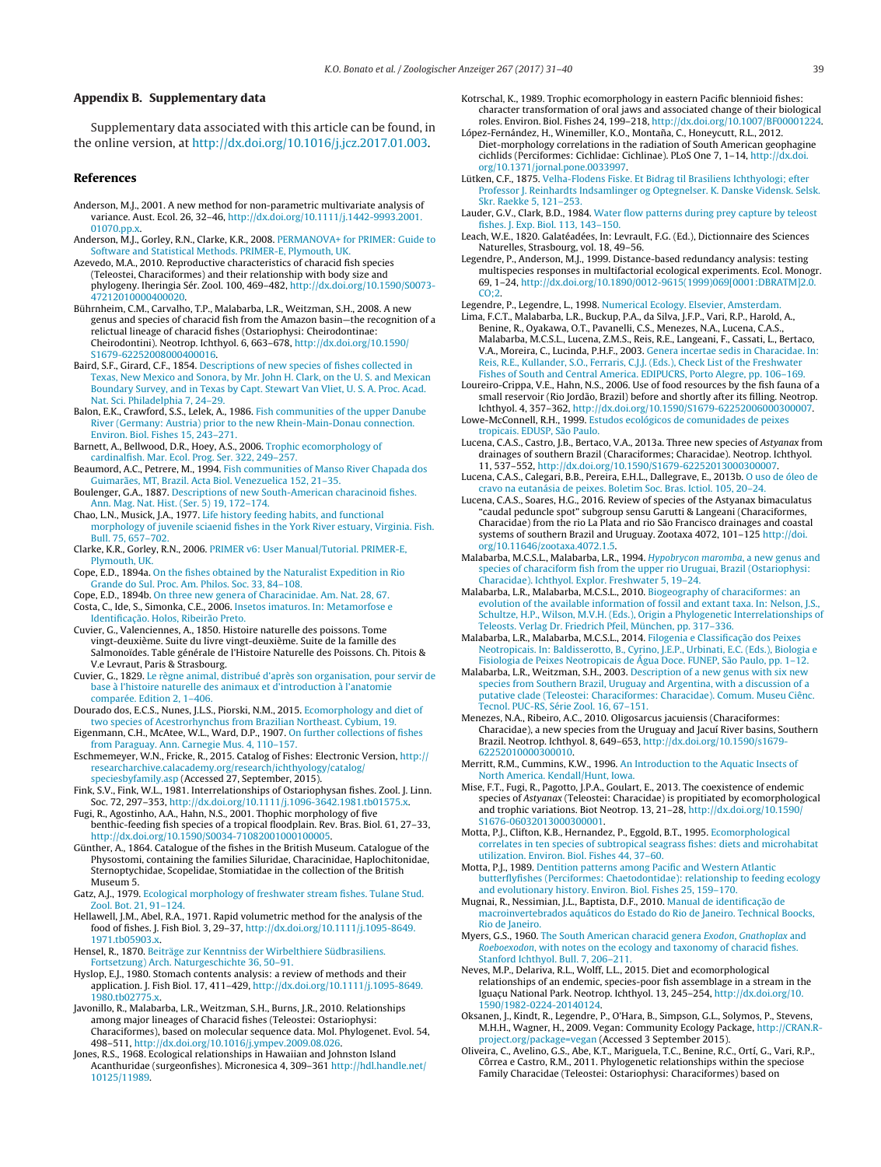#### <span id="page-8-0"></span>**Appendix B. Supplementary data**

Supplementary data associated with this article can be found, in the online version, at [http://dx.doi.org/10.1016/j.jcz.2017.01.003.](http://dx.doi.org/10.1016/j.jcz.2017.01.003)

#### **References**

- Anderson, M.J., 2001. A new method for non-parametric multivariate analysis of variance. Aust. Ecol. 26, 32–46, [http://dx.doi.org/10.1111/j.1442-9993.2001.](dx.doi.org/10.1111/j.1442-9993.2001.01070.pp.x) [01070.pp.x.](dx.doi.org/10.1111/j.1442-9993.2001.01070.pp.x)
- Anderson, M.J., Gorley, R.N., Clarke, K.R., 2008. [PERMANOVA+](http://refhub.elsevier.com/S0044-5231(17)30003-7/sbref0010) [for](http://refhub.elsevier.com/S0044-5231(17)30003-7/sbref0010) [PRIMER:](http://refhub.elsevier.com/S0044-5231(17)30003-7/sbref0010) [Guide](http://refhub.elsevier.com/S0044-5231(17)30003-7/sbref0010) [to](http://refhub.elsevier.com/S0044-5231(17)30003-7/sbref0010) [Software](http://refhub.elsevier.com/S0044-5231(17)30003-7/sbref0010) [and](http://refhub.elsevier.com/S0044-5231(17)30003-7/sbref0010) [Statistical](http://refhub.elsevier.com/S0044-5231(17)30003-7/sbref0010) [Methods.](http://refhub.elsevier.com/S0044-5231(17)30003-7/sbref0010) [PRIMER-E,](http://refhub.elsevier.com/S0044-5231(17)30003-7/sbref0010) [Plymouth,](http://refhub.elsevier.com/S0044-5231(17)30003-7/sbref0010) [UK.](http://refhub.elsevier.com/S0044-5231(17)30003-7/sbref0010)
- Azevedo, M.A., 2010. Reproductive characteristics of characid fish species (Teleostei, Characiformes) and their relationship with body size and phylogeny. Iheringia Sér. Zool. 100, 469–482, [http://dx.doi.org/10.1590/S0073-](dx.doi.org/10.1590/S0073-47212010000400020) [47212010000400020.](dx.doi.org/10.1590/S0073-47212010000400020)
- Bührnheim, C.M., Carvalho, T.P., Malabarba, L.R., Weitzman, S.H., 2008. A new genus and species of characid fish from the Amazon basin—the recognition of a relictual lineage of characid fishes (Ostariophysi: Cheirodontinae: Cheirodontini). Neotrop. Ichthyol. 6, 663–678, [http://dx.doi.org/10.1590/](dx.doi.org/10.1590/S1679-62252008000400016) [S1679-62252008000400016](dx.doi.org/10.1590/S1679-62252008000400016).
- Baird, S.F., Girard, C.F., 1854. [Descriptions](http://refhub.elsevier.com/S0044-5231(17)30003-7/sbref0025) [of](http://refhub.elsevier.com/S0044-5231(17)30003-7/sbref0025) [new](http://refhub.elsevier.com/S0044-5231(17)30003-7/sbref0025) [species](http://refhub.elsevier.com/S0044-5231(17)30003-7/sbref0025) [of](http://refhub.elsevier.com/S0044-5231(17)30003-7/sbref0025) [fishes](http://refhub.elsevier.com/S0044-5231(17)30003-7/sbref0025) [collected](http://refhub.elsevier.com/S0044-5231(17)30003-7/sbref0025) [in](http://refhub.elsevier.com/S0044-5231(17)30003-7/sbref0025) [Texas,](http://refhub.elsevier.com/S0044-5231(17)30003-7/sbref0025) [New](http://refhub.elsevier.com/S0044-5231(17)30003-7/sbref0025) [Mexico](http://refhub.elsevier.com/S0044-5231(17)30003-7/sbref0025) [and](http://refhub.elsevier.com/S0044-5231(17)30003-7/sbref0025) [Sonora,](http://refhub.elsevier.com/S0044-5231(17)30003-7/sbref0025) [by](http://refhub.elsevier.com/S0044-5231(17)30003-7/sbref0025) [Mr.](http://refhub.elsevier.com/S0044-5231(17)30003-7/sbref0025) [John](http://refhub.elsevier.com/S0044-5231(17)30003-7/sbref0025) [H.](http://refhub.elsevier.com/S0044-5231(17)30003-7/sbref0025) [Clark,](http://refhub.elsevier.com/S0044-5231(17)30003-7/sbref0025) [on](http://refhub.elsevier.com/S0044-5231(17)30003-7/sbref0025) [the](http://refhub.elsevier.com/S0044-5231(17)30003-7/sbref0025) [U.](http://refhub.elsevier.com/S0044-5231(17)30003-7/sbref0025) [S.](http://refhub.elsevier.com/S0044-5231(17)30003-7/sbref0025) [and](http://refhub.elsevier.com/S0044-5231(17)30003-7/sbref0025) [Mexican](http://refhub.elsevier.com/S0044-5231(17)30003-7/sbref0025) [Boundary](http://refhub.elsevier.com/S0044-5231(17)30003-7/sbref0025) [Survey,](http://refhub.elsevier.com/S0044-5231(17)30003-7/sbref0025) [and](http://refhub.elsevier.com/S0044-5231(17)30003-7/sbref0025) [in](http://refhub.elsevier.com/S0044-5231(17)30003-7/sbref0025) [Texas](http://refhub.elsevier.com/S0044-5231(17)30003-7/sbref0025) [by](http://refhub.elsevier.com/S0044-5231(17)30003-7/sbref0025) [Capt.](http://refhub.elsevier.com/S0044-5231(17)30003-7/sbref0025) [Stewart](http://refhub.elsevier.com/S0044-5231(17)30003-7/sbref0025) [Van](http://refhub.elsevier.com/S0044-5231(17)30003-7/sbref0025) [Vliet,](http://refhub.elsevier.com/S0044-5231(17)30003-7/sbref0025) [U.](http://refhub.elsevier.com/S0044-5231(17)30003-7/sbref0025) [S.](http://refhub.elsevier.com/S0044-5231(17)30003-7/sbref0025) [A.](http://refhub.elsevier.com/S0044-5231(17)30003-7/sbref0025) [Proc.](http://refhub.elsevier.com/S0044-5231(17)30003-7/sbref0025) [Acad.](http://refhub.elsevier.com/S0044-5231(17)30003-7/sbref0025) [Nat.](http://refhub.elsevier.com/S0044-5231(17)30003-7/sbref0025) [Sci.](http://refhub.elsevier.com/S0044-5231(17)30003-7/sbref0025) [Philadelphia](http://refhub.elsevier.com/S0044-5231(17)30003-7/sbref0025) [7,](http://refhub.elsevier.com/S0044-5231(17)30003-7/sbref0025) [24–29.](http://refhub.elsevier.com/S0044-5231(17)30003-7/sbref0025)
- Balon, E.K., Crawford, S.S., Lelek, A., 1986. [Fish](http://refhub.elsevier.com/S0044-5231(17)30003-7/sbref0030) [communities](http://refhub.elsevier.com/S0044-5231(17)30003-7/sbref0030) [of](http://refhub.elsevier.com/S0044-5231(17)30003-7/sbref0030) [the](http://refhub.elsevier.com/S0044-5231(17)30003-7/sbref0030) [upper](http://refhub.elsevier.com/S0044-5231(17)30003-7/sbref0030) [Danube](http://refhub.elsevier.com/S0044-5231(17)30003-7/sbref0030) [River](http://refhub.elsevier.com/S0044-5231(17)30003-7/sbref0030) [\(Germany:](http://refhub.elsevier.com/S0044-5231(17)30003-7/sbref0030) [Austria\)](http://refhub.elsevier.com/S0044-5231(17)30003-7/sbref0030) [prior](http://refhub.elsevier.com/S0044-5231(17)30003-7/sbref0030) [to](http://refhub.elsevier.com/S0044-5231(17)30003-7/sbref0030) [the](http://refhub.elsevier.com/S0044-5231(17)30003-7/sbref0030) [new](http://refhub.elsevier.com/S0044-5231(17)30003-7/sbref0030) [Rhein-Main-Donau](http://refhub.elsevier.com/S0044-5231(17)30003-7/sbref0030) [connection.](http://refhub.elsevier.com/S0044-5231(17)30003-7/sbref0030) [Environ.](http://refhub.elsevier.com/S0044-5231(17)30003-7/sbref0030) [Biol.](http://refhub.elsevier.com/S0044-5231(17)30003-7/sbref0030) [Fishes](http://refhub.elsevier.com/S0044-5231(17)30003-7/sbref0030) [15,](http://refhub.elsevier.com/S0044-5231(17)30003-7/sbref0030) [243–271.](http://refhub.elsevier.com/S0044-5231(17)30003-7/sbref0030)
- Barnett, A., Bellwood, D.R., Hoey, A.S., 2006. [Trophic](http://refhub.elsevier.com/S0044-5231(17)30003-7/sbref0035) [ecomorphology](http://refhub.elsevier.com/S0044-5231(17)30003-7/sbref0035) [of](http://refhub.elsevier.com/S0044-5231(17)30003-7/sbref0035) [cardinalfish.](http://refhub.elsevier.com/S0044-5231(17)30003-7/sbref0035) [Mar.](http://refhub.elsevier.com/S0044-5231(17)30003-7/sbref0035) [Ecol.](http://refhub.elsevier.com/S0044-5231(17)30003-7/sbref0035) [Prog.](http://refhub.elsevier.com/S0044-5231(17)30003-7/sbref0035) [Ser.](http://refhub.elsevier.com/S0044-5231(17)30003-7/sbref0035) [322,](http://refhub.elsevier.com/S0044-5231(17)30003-7/sbref0035) [249–257.](http://refhub.elsevier.com/S0044-5231(17)30003-7/sbref0035)
- Beaumord, A.C., Petrere, M., 1994. [Fish](http://refhub.elsevier.com/S0044-5231(17)30003-7/sbref0040) [communities](http://refhub.elsevier.com/S0044-5231(17)30003-7/sbref0040) [of](http://refhub.elsevier.com/S0044-5231(17)30003-7/sbref0040) [Manso](http://refhub.elsevier.com/S0044-5231(17)30003-7/sbref0040) [River](http://refhub.elsevier.com/S0044-5231(17)30003-7/sbref0040) [Chapada](http://refhub.elsevier.com/S0044-5231(17)30003-7/sbref0040) [dos](http://refhub.elsevier.com/S0044-5231(17)30003-7/sbref0040) [Guimarães,](http://refhub.elsevier.com/S0044-5231(17)30003-7/sbref0040) [MT,](http://refhub.elsevier.com/S0044-5231(17)30003-7/sbref0040) [Brazil.](http://refhub.elsevier.com/S0044-5231(17)30003-7/sbref0040) [Acta](http://refhub.elsevier.com/S0044-5231(17)30003-7/sbref0040) [Biol.](http://refhub.elsevier.com/S0044-5231(17)30003-7/sbref0040) [Venezuelica](http://refhub.elsevier.com/S0044-5231(17)30003-7/sbref0040) [152,](http://refhub.elsevier.com/S0044-5231(17)30003-7/sbref0040) [21–35.](http://refhub.elsevier.com/S0044-5231(17)30003-7/sbref0040)
- Boulenger, G.A., 1887. [Descriptions](http://refhub.elsevier.com/S0044-5231(17)30003-7/sbref0045) [of](http://refhub.elsevier.com/S0044-5231(17)30003-7/sbref0045) [new](http://refhub.elsevier.com/S0044-5231(17)30003-7/sbref0045) [South-American](http://refhub.elsevier.com/S0044-5231(17)30003-7/sbref0045) [characinoid](http://refhub.elsevier.com/S0044-5231(17)30003-7/sbref0045) [fishes.](http://refhub.elsevier.com/S0044-5231(17)30003-7/sbref0045) [Ann.](http://refhub.elsevier.com/S0044-5231(17)30003-7/sbref0045) [Mag.](http://refhub.elsevier.com/S0044-5231(17)30003-7/sbref0045) [Nat.](http://refhub.elsevier.com/S0044-5231(17)30003-7/sbref0045) [Hist.](http://refhub.elsevier.com/S0044-5231(17)30003-7/sbref0045) [\(Ser.](http://refhub.elsevier.com/S0044-5231(17)30003-7/sbref0045) [5\)](http://refhub.elsevier.com/S0044-5231(17)30003-7/sbref0045) [19,](http://refhub.elsevier.com/S0044-5231(17)30003-7/sbref0045) [172–174.](http://refhub.elsevier.com/S0044-5231(17)30003-7/sbref0045)
- Chao, L.N., Musick, J.A., 1977. [Life](http://refhub.elsevier.com/S0044-5231(17)30003-7/sbref0050) [history](http://refhub.elsevier.com/S0044-5231(17)30003-7/sbref0050) [feeding](http://refhub.elsevier.com/S0044-5231(17)30003-7/sbref0050) [habits,](http://refhub.elsevier.com/S0044-5231(17)30003-7/sbref0050) [and](http://refhub.elsevier.com/S0044-5231(17)30003-7/sbref0050) [functional](http://refhub.elsevier.com/S0044-5231(17)30003-7/sbref0050) [morphology](http://refhub.elsevier.com/S0044-5231(17)30003-7/sbref0050) [of](http://refhub.elsevier.com/S0044-5231(17)30003-7/sbref0050) [juvenile](http://refhub.elsevier.com/S0044-5231(17)30003-7/sbref0050) [sciaenid](http://refhub.elsevier.com/S0044-5231(17)30003-7/sbref0050) [fishes](http://refhub.elsevier.com/S0044-5231(17)30003-7/sbref0050) [in](http://refhub.elsevier.com/S0044-5231(17)30003-7/sbref0050) [the](http://refhub.elsevier.com/S0044-5231(17)30003-7/sbref0050) [York](http://refhub.elsevier.com/S0044-5231(17)30003-7/sbref0050) [River](http://refhub.elsevier.com/S0044-5231(17)30003-7/sbref0050) [estuary,](http://refhub.elsevier.com/S0044-5231(17)30003-7/sbref0050) [Virginia.](http://refhub.elsevier.com/S0044-5231(17)30003-7/sbref0050) [Fish.](http://refhub.elsevier.com/S0044-5231(17)30003-7/sbref0050) [Bull.](http://refhub.elsevier.com/S0044-5231(17)30003-7/sbref0050) [75,](http://refhub.elsevier.com/S0044-5231(17)30003-7/sbref0050) [657–702.](http://refhub.elsevier.com/S0044-5231(17)30003-7/sbref0050)
- Clarke, K.R., Gorley, R.N., 2006. [PRIMER](http://refhub.elsevier.com/S0044-5231(17)30003-7/sbref0055) [v6:](http://refhub.elsevier.com/S0044-5231(17)30003-7/sbref0055) [User](http://refhub.elsevier.com/S0044-5231(17)30003-7/sbref0055) [Manual/Tutorial.](http://refhub.elsevier.com/S0044-5231(17)30003-7/sbref0055) [PRIMER-E,](http://refhub.elsevier.com/S0044-5231(17)30003-7/sbref0055) [Plymouth,](http://refhub.elsevier.com/S0044-5231(17)30003-7/sbref0055) [UK.](http://refhub.elsevier.com/S0044-5231(17)30003-7/sbref0055)
- Cope, E.D., 1894a. [On](http://refhub.elsevier.com/S0044-5231(17)30003-7/sbref0060) [the](http://refhub.elsevier.com/S0044-5231(17)30003-7/sbref0060) [fishes](http://refhub.elsevier.com/S0044-5231(17)30003-7/sbref0060) [obtained](http://refhub.elsevier.com/S0044-5231(17)30003-7/sbref0060) [by](http://refhub.elsevier.com/S0044-5231(17)30003-7/sbref0060) [the](http://refhub.elsevier.com/S0044-5231(17)30003-7/sbref0060) [Naturalist](http://refhub.elsevier.com/S0044-5231(17)30003-7/sbref0060) [Expedition](http://refhub.elsevier.com/S0044-5231(17)30003-7/sbref0060) [in](http://refhub.elsevier.com/S0044-5231(17)30003-7/sbref0060) [Rio](http://refhub.elsevier.com/S0044-5231(17)30003-7/sbref0060) [Grande](http://refhub.elsevier.com/S0044-5231(17)30003-7/sbref0060) [do](http://refhub.elsevier.com/S0044-5231(17)30003-7/sbref0060) [Sul.](http://refhub.elsevier.com/S0044-5231(17)30003-7/sbref0060) [Proc.](http://refhub.elsevier.com/S0044-5231(17)30003-7/sbref0060) [Am.](http://refhub.elsevier.com/S0044-5231(17)30003-7/sbref0060) [Philos.](http://refhub.elsevier.com/S0044-5231(17)30003-7/sbref0060) [Soc.](http://refhub.elsevier.com/S0044-5231(17)30003-7/sbref0060) [33,](http://refhub.elsevier.com/S0044-5231(17)30003-7/sbref0060) [84–108.](http://refhub.elsevier.com/S0044-5231(17)30003-7/sbref0060)
- Cope, E.D., 1894b. [On](http://refhub.elsevier.com/S0044-5231(17)30003-7/sbref0065) [three](http://refhub.elsevier.com/S0044-5231(17)30003-7/sbref0065) [new](http://refhub.elsevier.com/S0044-5231(17)30003-7/sbref0065) [genera](http://refhub.elsevier.com/S0044-5231(17)30003-7/sbref0065) [of](http://refhub.elsevier.com/S0044-5231(17)30003-7/sbref0065) [Characinidae.](http://refhub.elsevier.com/S0044-5231(17)30003-7/sbref0065) [Am.](http://refhub.elsevier.com/S0044-5231(17)30003-7/sbref0065) [Nat.](http://refhub.elsevier.com/S0044-5231(17)30003-7/sbref0065) [28,](http://refhub.elsevier.com/S0044-5231(17)30003-7/sbref0065) [67.](http://refhub.elsevier.com/S0044-5231(17)30003-7/sbref0065) Costa, C., Ide, S., Simonka, C.E., 2006. [Insetos](http://refhub.elsevier.com/S0044-5231(17)30003-7/sbref0070) [imaturos.](http://refhub.elsevier.com/S0044-5231(17)30003-7/sbref0070) [In:](http://refhub.elsevier.com/S0044-5231(17)30003-7/sbref0070) [Metamorfose](http://refhub.elsevier.com/S0044-5231(17)30003-7/sbref0070) [e](http://refhub.elsevier.com/S0044-5231(17)30003-7/sbref0070) Identificaç[ão.](http://refhub.elsevier.com/S0044-5231(17)30003-7/sbref0070) [Holos,](http://refhub.elsevier.com/S0044-5231(17)30003-7/sbref0070) [Ribeirão](http://refhub.elsevier.com/S0044-5231(17)30003-7/sbref0070) [Preto.](http://refhub.elsevier.com/S0044-5231(17)30003-7/sbref0070)
- Cuvier, G., Valenciennes, A., 1850. Histoire naturelle des poissons. Tome vingt-deuxième. Suite du livre vingt-deuxième. Suite de la famille des Salmonoïdes. Table générale de l'Histoire Naturelle des Poissons. Ch. Pitois &
- V.e Levraut, Paris & Strasbourg. Cuvier, G., 1829. [Le](http://refhub.elsevier.com/S0044-5231(17)30003-7/sbref0080) [règne](http://refhub.elsevier.com/S0044-5231(17)30003-7/sbref0080) [animal,](http://refhub.elsevier.com/S0044-5231(17)30003-7/sbref0080) [distribué](http://refhub.elsevier.com/S0044-5231(17)30003-7/sbref0080) [d'après](http://refhub.elsevier.com/S0044-5231(17)30003-7/sbref0080) [son](http://refhub.elsevier.com/S0044-5231(17)30003-7/sbref0080) [organisation,](http://refhub.elsevier.com/S0044-5231(17)30003-7/sbref0080) [pour](http://refhub.elsevier.com/S0044-5231(17)30003-7/sbref0080) [servir](http://refhub.elsevier.com/S0044-5231(17)30003-7/sbref0080) [de](http://refhub.elsevier.com/S0044-5231(17)30003-7/sbref0080) [base](http://refhub.elsevier.com/S0044-5231(17)30003-7/sbref0080) [à](http://refhub.elsevier.com/S0044-5231(17)30003-7/sbref0080) [l'histoire](http://refhub.elsevier.com/S0044-5231(17)30003-7/sbref0080) [naturelle](http://refhub.elsevier.com/S0044-5231(17)30003-7/sbref0080) [des](http://refhub.elsevier.com/S0044-5231(17)30003-7/sbref0080) [animaux](http://refhub.elsevier.com/S0044-5231(17)30003-7/sbref0080) [et](http://refhub.elsevier.com/S0044-5231(17)30003-7/sbref0080) [d'introduction](http://refhub.elsevier.com/S0044-5231(17)30003-7/sbref0080) [à](http://refhub.elsevier.com/S0044-5231(17)30003-7/sbref0080) [l'anatomie](http://refhub.elsevier.com/S0044-5231(17)30003-7/sbref0080) [comparée.](http://refhub.elsevier.com/S0044-5231(17)30003-7/sbref0080) [Edition](http://refhub.elsevier.com/S0044-5231(17)30003-7/sbref0080) [2,](http://refhub.elsevier.com/S0044-5231(17)30003-7/sbref0080) [1–406.](http://refhub.elsevier.com/S0044-5231(17)30003-7/sbref0080)
- Dourado dos, E.C.S., Nunes, J.L.S., Piorski, N.M., 2015. [Ecomorphology](http://refhub.elsevier.com/S0044-5231(17)30003-7/sbref0085) [and](http://refhub.elsevier.com/S0044-5231(17)30003-7/sbref0085) [diet](http://refhub.elsevier.com/S0044-5231(17)30003-7/sbref0085) [of](http://refhub.elsevier.com/S0044-5231(17)30003-7/sbref0085) [two](http://refhub.elsevier.com/S0044-5231(17)30003-7/sbref0085) [species](http://refhub.elsevier.com/S0044-5231(17)30003-7/sbref0085) [of](http://refhub.elsevier.com/S0044-5231(17)30003-7/sbref0085) [Acestrorhynchus](http://refhub.elsevier.com/S0044-5231(17)30003-7/sbref0085) [from](http://refhub.elsevier.com/S0044-5231(17)30003-7/sbref0085) [Brazilian](http://refhub.elsevier.com/S0044-5231(17)30003-7/sbref0085) [Northeast.](http://refhub.elsevier.com/S0044-5231(17)30003-7/sbref0085) [Cybium,](http://refhub.elsevier.com/S0044-5231(17)30003-7/sbref0085) [19.](http://refhub.elsevier.com/S0044-5231(17)30003-7/sbref0085)
- Eigenmann, C.H., McAtee, W.L., Ward, D.P., 1907. [On](http://refhub.elsevier.com/S0044-5231(17)30003-7/sbref0090) [further](http://refhub.elsevier.com/S0044-5231(17)30003-7/sbref0090) [collections](http://refhub.elsevier.com/S0044-5231(17)30003-7/sbref0090) [of](http://refhub.elsevier.com/S0044-5231(17)30003-7/sbref0090) [fishes](http://refhub.elsevier.com/S0044-5231(17)30003-7/sbref0090) [from](http://refhub.elsevier.com/S0044-5231(17)30003-7/sbref0090) [Paraguay.](http://refhub.elsevier.com/S0044-5231(17)30003-7/sbref0090) [Ann.](http://refhub.elsevier.com/S0044-5231(17)30003-7/sbref0090) [Carnegie](http://refhub.elsevier.com/S0044-5231(17)30003-7/sbref0090) [Mus.](http://refhub.elsevier.com/S0044-5231(17)30003-7/sbref0090) [4,](http://refhub.elsevier.com/S0044-5231(17)30003-7/sbref0090) [110](http://refhub.elsevier.com/S0044-5231(17)30003-7/sbref0090)–[157.](http://refhub.elsevier.com/S0044-5231(17)30003-7/sbref0090)
- Eschmemeyer, W.N., Fricke, R., 2015. Catalog of Fishes: Electronic Version, [http://](http://researcharchive.calacademy.org/research/ichthyology/catalog/speciesbyfamily.asp) [researcharchive.calacademy.org/research/ichthyology/catalog/](http://researcharchive.calacademy.org/research/ichthyology/catalog/speciesbyfamily.asp) [speciesbyfamily.asp](http://researcharchive.calacademy.org/research/ichthyology/catalog/speciesbyfamily.asp) (Accessed 27, September, 2015).
- Fink, S.V., Fink, W.L., 1981. Interrelationships of Ostariophysan fishes. Zool. J. Linn. Soc. 72, 297–353, [http://dx.doi.org/10.1111/j.1096-3642.1981.tb01575.x](dx.doi.org/10.1111/j.1096-3642.1981.tb01575.x).
- Fugi, R., Agostinho, A.A., Hahn, N.S., 2001. Thophic morphology of five benthic-feeding fish species of a tropical floodplain. Rev. Bras. Biol. 61, 27–33, [http://dx.doi.org/10.1590/S0034-71082001000100005](dx.doi.org/10.1590/S0034-71082001000100005).
- Günther, A., 1864. Catalogue of the fishes in the British Museum. Catalogue of the Physostomi, containing the families Siluridae, Characinidae, Haplochitonidae, Sternoptychidae, Scopelidae, Stomiatidae in the collection of the British Museum 5.
- Gatz, A.J., 1979. [Ecological](http://refhub.elsevier.com/S0044-5231(17)30003-7/sbref0115) [morphology](http://refhub.elsevier.com/S0044-5231(17)30003-7/sbref0115) [of](http://refhub.elsevier.com/S0044-5231(17)30003-7/sbref0115) [freshwater](http://refhub.elsevier.com/S0044-5231(17)30003-7/sbref0115) [stream](http://refhub.elsevier.com/S0044-5231(17)30003-7/sbref0115) [fishes.](http://refhub.elsevier.com/S0044-5231(17)30003-7/sbref0115) [Tulane](http://refhub.elsevier.com/S0044-5231(17)30003-7/sbref0115) [Stud.](http://refhub.elsevier.com/S0044-5231(17)30003-7/sbref0115) [Zool.](http://refhub.elsevier.com/S0044-5231(17)30003-7/sbref0115) [Bot.](http://refhub.elsevier.com/S0044-5231(17)30003-7/sbref0115) [21,](http://refhub.elsevier.com/S0044-5231(17)30003-7/sbref0115) [91–124.](http://refhub.elsevier.com/S0044-5231(17)30003-7/sbref0115)
- Hellawell, J.M., Abel, R.A., 1971. Rapid volumetric method for the analysis of the food of fishes. J. Fish Biol. 3, 29–37, [http://dx.doi.org/10.1111/j.1095-8649.](dx.doi.org/10.1111/j.1095-8649.1971.tb05903.x) [1971.tb05903.x](dx.doi.org/10.1111/j.1095-8649.1971.tb05903.x).
- Hensel, R., 1870. [Beiträge](http://refhub.elsevier.com/S0044-5231(17)30003-7/sbref0125) [zur](http://refhub.elsevier.com/S0044-5231(17)30003-7/sbref0125) [Kenntniss](http://refhub.elsevier.com/S0044-5231(17)30003-7/sbref0125) [der](http://refhub.elsevier.com/S0044-5231(17)30003-7/sbref0125) [Wirbelthiere](http://refhub.elsevier.com/S0044-5231(17)30003-7/sbref0125) [Südbrasiliens.](http://refhub.elsevier.com/S0044-5231(17)30003-7/sbref0125) [Fortsetzung\)](http://refhub.elsevier.com/S0044-5231(17)30003-7/sbref0125) [Arch.](http://refhub.elsevier.com/S0044-5231(17)30003-7/sbref0125) [Naturgeschichte](http://refhub.elsevier.com/S0044-5231(17)30003-7/sbref0125) [36,](http://refhub.elsevier.com/S0044-5231(17)30003-7/sbref0125) [50](http://refhub.elsevier.com/S0044-5231(17)30003-7/sbref0125)–[91.](http://refhub.elsevier.com/S0044-5231(17)30003-7/sbref0125)
- Hyslop, E.J., 1980. Stomach contents analysis: a review of methods and their application. J. Fish Biol. 17, 411–429, [http://dx.doi.org/10.1111/j.1095-8649.](dx.doi.org/10.1111/j.1095-8649.1980.tb02775.x) [1980.tb02775.x](dx.doi.org/10.1111/j.1095-8649.1980.tb02775.x).
- Javonillo, R., Malabarba, L.R., Weitzman, S.H., Burns, J.R., 2010. Relationships among major lineages of Characid fishes (Teleostei: Ostariophysi: Characiformes), based on molecular sequence data. Mol. Phylogenet. Evol. 54, 498–511, [http://dx.doi.org/10.1016/j.ympev.2009.08.026](dx.doi.org/10.1016/j.ympev.2009.08.026).
- Jones, R.S., 1968. Ecological relationships in Hawaiian and Johnston Island Acanthuridae (surgeonfishes). Micronesica 4, 309–361 [http://hdl.handle.net/](http://hdl.handle.net/10125/11989) [10125/11989](http://hdl.handle.net/10125/11989).
- Kotrschal, K., 1989. Trophic ecomorphology in eastern Pacific blennioid fishes: character transformation of oral jaws and associated change of their biological roles. Environ. Biol. Fishes 24, 199–218, [http://dx.doi.org/10.1007/BF00001224](dx.doi.org/10.1007/BF00001224).
- López-Fernández, H., Winemiller, K.O., Montaña, C., Honeycutt, R.L., 2012. Diet-morphology correlations in the radiation of South American geophagine cichlids (Perciformes: Cichlidae: Cichlinae). PLoS One 7, 1–14, [http://dx.doi.](dx.doi.org/10.1371/jornal.pone.0033997) [org/10.1371/jornal.pone.0033997.](dx.doi.org/10.1371/jornal.pone.0033997)
- Lütken, C.F., 1875. [Velha-Flodens](http://refhub.elsevier.com/S0044-5231(17)30003-7/sbref0155) [Fiske.](http://refhub.elsevier.com/S0044-5231(17)30003-7/sbref0155) [Et](http://refhub.elsevier.com/S0044-5231(17)30003-7/sbref0155) [Bidrag](http://refhub.elsevier.com/S0044-5231(17)30003-7/sbref0155) [til](http://refhub.elsevier.com/S0044-5231(17)30003-7/sbref0155) [Brasiliens](http://refhub.elsevier.com/S0044-5231(17)30003-7/sbref0155) [Ichthyologi;](http://refhub.elsevier.com/S0044-5231(17)30003-7/sbref0155) [efter](http://refhub.elsevier.com/S0044-5231(17)30003-7/sbref0155) [Professor](http://refhub.elsevier.com/S0044-5231(17)30003-7/sbref0155) [J.](http://refhub.elsevier.com/S0044-5231(17)30003-7/sbref0155) [Reinhardts](http://refhub.elsevier.com/S0044-5231(17)30003-7/sbref0155) [Indsamlinger](http://refhub.elsevier.com/S0044-5231(17)30003-7/sbref0155) [og](http://refhub.elsevier.com/S0044-5231(17)30003-7/sbref0155) [Optegnelser.](http://refhub.elsevier.com/S0044-5231(17)30003-7/sbref0155) [K.](http://refhub.elsevier.com/S0044-5231(17)30003-7/sbref0155) [Danske](http://refhub.elsevier.com/S0044-5231(17)30003-7/sbref0155) [Vidensk.](http://refhub.elsevier.com/S0044-5231(17)30003-7/sbref0155) [Selsk.](http://refhub.elsevier.com/S0044-5231(17)30003-7/sbref0155) [Skr.](http://refhub.elsevier.com/S0044-5231(17)30003-7/sbref0155) [Raekke](http://refhub.elsevier.com/S0044-5231(17)30003-7/sbref0155) [5,](http://refhub.elsevier.com/S0044-5231(17)30003-7/sbref0155) [121](http://refhub.elsevier.com/S0044-5231(17)30003-7/sbref0155)–[253.](http://refhub.elsevier.com/S0044-5231(17)30003-7/sbref0155)
- Lauder, G.V., Clark, B.D., 1984. [Water](http://refhub.elsevier.com/S0044-5231(17)30003-7/sbref0160) [flow](http://refhub.elsevier.com/S0044-5231(17)30003-7/sbref0160) [patterns](http://refhub.elsevier.com/S0044-5231(17)30003-7/sbref0160) [during](http://refhub.elsevier.com/S0044-5231(17)30003-7/sbref0160) [prey](http://refhub.elsevier.com/S0044-5231(17)30003-7/sbref0160) [capture](http://refhub.elsevier.com/S0044-5231(17)30003-7/sbref0160) [by](http://refhub.elsevier.com/S0044-5231(17)30003-7/sbref0160) [teleost](http://refhub.elsevier.com/S0044-5231(17)30003-7/sbref0160) [fishes.](http://refhub.elsevier.com/S0044-5231(17)30003-7/sbref0160) [J.](http://refhub.elsevier.com/S0044-5231(17)30003-7/sbref0160) [Exp.](http://refhub.elsevier.com/S0044-5231(17)30003-7/sbref0160) [Biol.](http://refhub.elsevier.com/S0044-5231(17)30003-7/sbref0160) [113,](http://refhub.elsevier.com/S0044-5231(17)30003-7/sbref0160) [143–150.](http://refhub.elsevier.com/S0044-5231(17)30003-7/sbref0160)
- Leach, W.E., 1820. Galatéadées, In: Levrault, F.G. (Ed.), Dictionnaire des Sciences Naturelles, Strasbourg, vol. 18, 49–56.
- Legendre, P., Anderson, M.J., 1999. Distance-based redundancy analysis: testing multispecies responses in multifactorial ecological experiments. Ecol. Monogr. 69, 1–24, [http://dx.doi.org/10.1890/0012-9615\(1999\)069\[0001:DBRATM\]2.0.](dx.doi.org/10.1890/0012-9615(1999)069[0001:DBRATM]2.0.CO;2)  $CO:2$
- Legendre, P., Legendre, L., 1998. [Numerical](http://refhub.elsevier.com/S0044-5231(17)30003-7/sbref0175) [Ecology.](http://refhub.elsevier.com/S0044-5231(17)30003-7/sbref0175) [Elsevier,](http://refhub.elsevier.com/S0044-5231(17)30003-7/sbref0175) [Amsterdam.](http://refhub.elsevier.com/S0044-5231(17)30003-7/sbref0175)
- Lima, F.C.T., Malabarba, L.R., Buckup, P.A., da Silva, J.F.P., Vari, R.P., Harold, A., Benine, R., Oyakawa, O.T., Pavanelli, C.S., Menezes, N.A., Lucena, C.A.S., Malabarba, M.C.S.L., Lucena, Z.M.S., Reis, R.E., Langeani, F., Cassati, L., Bertaco, V.A., Moreira, C., Lucinda, P.H.F., 2003. [Genera](http://refhub.elsevier.com/S0044-5231(17)30003-7/sbref0180) [incertae](http://refhub.elsevier.com/S0044-5231(17)30003-7/sbref0180) [sedis](http://refhub.elsevier.com/S0044-5231(17)30003-7/sbref0180) [in](http://refhub.elsevier.com/S0044-5231(17)30003-7/sbref0180) [Characidae.](http://refhub.elsevier.com/S0044-5231(17)30003-7/sbref0180) [In:](http://refhub.elsevier.com/S0044-5231(17)30003-7/sbref0180) [Reis,](http://refhub.elsevier.com/S0044-5231(17)30003-7/sbref0180) [R.E.,](http://refhub.elsevier.com/S0044-5231(17)30003-7/sbref0180) [Kullander,](http://refhub.elsevier.com/S0044-5231(17)30003-7/sbref0180) [S.O.,](http://refhub.elsevier.com/S0044-5231(17)30003-7/sbref0180) [Ferraris,](http://refhub.elsevier.com/S0044-5231(17)30003-7/sbref0180) [C.J.J.](http://refhub.elsevier.com/S0044-5231(17)30003-7/sbref0180) [\(Eds.\),](http://refhub.elsevier.com/S0044-5231(17)30003-7/sbref0180) [Check](http://refhub.elsevier.com/S0044-5231(17)30003-7/sbref0180) [List](http://refhub.elsevier.com/S0044-5231(17)30003-7/sbref0180) [of](http://refhub.elsevier.com/S0044-5231(17)30003-7/sbref0180) [the](http://refhub.elsevier.com/S0044-5231(17)30003-7/sbref0180) [Freshwater](http://refhub.elsevier.com/S0044-5231(17)30003-7/sbref0180) [Fishes](http://refhub.elsevier.com/S0044-5231(17)30003-7/sbref0180) [of](http://refhub.elsevier.com/S0044-5231(17)30003-7/sbref0180) [South](http://refhub.elsevier.com/S0044-5231(17)30003-7/sbref0180) [and](http://refhub.elsevier.com/S0044-5231(17)30003-7/sbref0180) [Central](http://refhub.elsevier.com/S0044-5231(17)30003-7/sbref0180) [America.](http://refhub.elsevier.com/S0044-5231(17)30003-7/sbref0180) [EDIPUCRS,](http://refhub.elsevier.com/S0044-5231(17)30003-7/sbref0180) [Porto](http://refhub.elsevier.com/S0044-5231(17)30003-7/sbref0180) [Alegre,](http://refhub.elsevier.com/S0044-5231(17)30003-7/sbref0180) [pp.](http://refhub.elsevier.com/S0044-5231(17)30003-7/sbref0180) [106](http://refhub.elsevier.com/S0044-5231(17)30003-7/sbref0180)–[169.](http://refhub.elsevier.com/S0044-5231(17)30003-7/sbref0180)
- Loureiro-Crippa, V.E., Hahn, N.S., 2006. Use of food resources by the fish fauna of a small reservoir (Rio Jordão, Brazil) before and shortly after its filling. Neotrop. Ichthyol. 4, 357–362, [http://dx.doi.org/10.1590/S1679-62252006000300007.](dx.doi.org/10.1590/S1679-62252006000300007)
- Lowe-McConnell, R.H., 1999. [Estudos](http://refhub.elsevier.com/S0044-5231(17)30003-7/sbref0190) [ecológicos](http://refhub.elsevier.com/S0044-5231(17)30003-7/sbref0190) [de](http://refhub.elsevier.com/S0044-5231(17)30003-7/sbref0190) [comunidades](http://refhub.elsevier.com/S0044-5231(17)30003-7/sbref0190) [de](http://refhub.elsevier.com/S0044-5231(17)30003-7/sbref0190) [peixes](http://refhub.elsevier.com/S0044-5231(17)30003-7/sbref0190) [tropicais.](http://refhub.elsevier.com/S0044-5231(17)30003-7/sbref0190) [EDUSP,](http://refhub.elsevier.com/S0044-5231(17)30003-7/sbref0190) [São](http://refhub.elsevier.com/S0044-5231(17)30003-7/sbref0190) [Paulo.](http://refhub.elsevier.com/S0044-5231(17)30003-7/sbref0190)
- Lucena, C.A.S., Castro, J.B., Bertaco, V.A., 2013a. Three new species of Astyanax from drainages of southern Brazil (Characiformes; Characidae). Neotrop. Ichthyol. 11, 537–552, [http://dx.doi.org/10.1590/S1679-62252013000300007.](dx.doi.org/10.1590/S1679-62252013000300007)
- Lucena, C.A.S., Calegari, B.B., Pereira, E.H.L., Dallegrave, E., 2013b. [O](http://refhub.elsevier.com/S0044-5231(17)30003-7/sbref0200) [uso](http://refhub.elsevier.com/S0044-5231(17)30003-7/sbref0200) [de](http://refhub.elsevier.com/S0044-5231(17)30003-7/sbref0200) [óleo](http://refhub.elsevier.com/S0044-5231(17)30003-7/sbref0200) [de](http://refhub.elsevier.com/S0044-5231(17)30003-7/sbref0200) [cravo](http://refhub.elsevier.com/S0044-5231(17)30003-7/sbref0200) [na](http://refhub.elsevier.com/S0044-5231(17)30003-7/sbref0200) [eutanásia](http://refhub.elsevier.com/S0044-5231(17)30003-7/sbref0200) [de](http://refhub.elsevier.com/S0044-5231(17)30003-7/sbref0200) [peixes.](http://refhub.elsevier.com/S0044-5231(17)30003-7/sbref0200) [Boletim](http://refhub.elsevier.com/S0044-5231(17)30003-7/sbref0200) [Soc.](http://refhub.elsevier.com/S0044-5231(17)30003-7/sbref0200) [Bras.](http://refhub.elsevier.com/S0044-5231(17)30003-7/sbref0200) [Ictiol.](http://refhub.elsevier.com/S0044-5231(17)30003-7/sbref0200) [105,](http://refhub.elsevier.com/S0044-5231(17)30003-7/sbref0200) [20–24.](http://refhub.elsevier.com/S0044-5231(17)30003-7/sbref0200)
- Lucena, C.A.S., Soares, H.G., 2016. Review of species of the Astyanax bimaculatus "caudal peduncle spot" subgroup sensu Garutti & Langeani (Characiformes, Characidae) from the rio La Plata and rio São Francisco drainages and coastal systems of southern Brazil and Uruguay. Zootaxa 4072, 101–125 [http://doi.](http://doi.org/10.11646/zootaxa.4072.1.5) [org/10.11646/zootaxa.4072.1.5.](http://doi.org/10.11646/zootaxa.4072.1.5)
- Malabarba, M.C.S.L., Malabarba, L.R., 1994. [Hypobrycon](http://refhub.elsevier.com/S0044-5231(17)30003-7/sbref0210) [maromba](http://refhub.elsevier.com/S0044-5231(17)30003-7/sbref0210)[,](http://refhub.elsevier.com/S0044-5231(17)30003-7/sbref0210) [a](http://refhub.elsevier.com/S0044-5231(17)30003-7/sbref0210) [new](http://refhub.elsevier.com/S0044-5231(17)30003-7/sbref0210) [genus](http://refhub.elsevier.com/S0044-5231(17)30003-7/sbref0210) [and](http://refhub.elsevier.com/S0044-5231(17)30003-7/sbref0210) [species](http://refhub.elsevier.com/S0044-5231(17)30003-7/sbref0210) [of](http://refhub.elsevier.com/S0044-5231(17)30003-7/sbref0210) [characiform](http://refhub.elsevier.com/S0044-5231(17)30003-7/sbref0210) [fish](http://refhub.elsevier.com/S0044-5231(17)30003-7/sbref0210) [from](http://refhub.elsevier.com/S0044-5231(17)30003-7/sbref0210) [the](http://refhub.elsevier.com/S0044-5231(17)30003-7/sbref0210) [upper](http://refhub.elsevier.com/S0044-5231(17)30003-7/sbref0210) [rio](http://refhub.elsevier.com/S0044-5231(17)30003-7/sbref0210) [Uruguai,](http://refhub.elsevier.com/S0044-5231(17)30003-7/sbref0210) [Brazil](http://refhub.elsevier.com/S0044-5231(17)30003-7/sbref0210) [\(Ostariophysi:](http://refhub.elsevier.com/S0044-5231(17)30003-7/sbref0210) [Characidae\).](http://refhub.elsevier.com/S0044-5231(17)30003-7/sbref0210) [Ichthyol.](http://refhub.elsevier.com/S0044-5231(17)30003-7/sbref0210) [Explor.](http://refhub.elsevier.com/S0044-5231(17)30003-7/sbref0210) [Freshwater](http://refhub.elsevier.com/S0044-5231(17)30003-7/sbref0210) [5,](http://refhub.elsevier.com/S0044-5231(17)30003-7/sbref0210) [19–24.](http://refhub.elsevier.com/S0044-5231(17)30003-7/sbref0210)
- Malabarba, L.R., Malabarba, M.C.S.L., 2010. [Biogeography](http://refhub.elsevier.com/S0044-5231(17)30003-7/sbref0215) [of](http://refhub.elsevier.com/S0044-5231(17)30003-7/sbref0215) [characiformes:](http://refhub.elsevier.com/S0044-5231(17)30003-7/sbref0215) [an](http://refhub.elsevier.com/S0044-5231(17)30003-7/sbref0215) [evolution](http://refhub.elsevier.com/S0044-5231(17)30003-7/sbref0215) [of](http://refhub.elsevier.com/S0044-5231(17)30003-7/sbref0215) [the](http://refhub.elsevier.com/S0044-5231(17)30003-7/sbref0215) [available](http://refhub.elsevier.com/S0044-5231(17)30003-7/sbref0215) [information](http://refhub.elsevier.com/S0044-5231(17)30003-7/sbref0215) of [fossil](http://refhub.elsevier.com/S0044-5231(17)30003-7/sbref0215) [and](http://refhub.elsevier.com/S0044-5231(17)30003-7/sbref0215) [extant](http://refhub.elsevier.com/S0044-5231(17)30003-7/sbref0215) [taxa.](http://refhub.elsevier.com/S0044-5231(17)30003-7/sbref0215) [In:](http://refhub.elsevier.com/S0044-5231(17)30003-7/sbref0215) [Nelson,](http://refhub.elsevier.com/S0044-5231(17)30003-7/sbref0215) J.S. [Schultze,](http://refhub.elsevier.com/S0044-5231(17)30003-7/sbref0215) [H.P.,](http://refhub.elsevier.com/S0044-5231(17)30003-7/sbref0215) [Wilson,](http://refhub.elsevier.com/S0044-5231(17)30003-7/sbref0215) [M.V.H.](http://refhub.elsevier.com/S0044-5231(17)30003-7/sbref0215) [\(Eds.\),](http://refhub.elsevier.com/S0044-5231(17)30003-7/sbref0215) [Origin](http://refhub.elsevier.com/S0044-5231(17)30003-7/sbref0215) [a](http://refhub.elsevier.com/S0044-5231(17)30003-7/sbref0215) [Phylogenetic](http://refhub.elsevier.com/S0044-5231(17)30003-7/sbref0215) [Interrelationships](http://refhub.elsevier.com/S0044-5231(17)30003-7/sbref0215) [of](http://refhub.elsevier.com/S0044-5231(17)30003-7/sbref0215) [Teleosts.](http://refhub.elsevier.com/S0044-5231(17)30003-7/sbref0215) [Verlag](http://refhub.elsevier.com/S0044-5231(17)30003-7/sbref0215) [Dr.](http://refhub.elsevier.com/S0044-5231(17)30003-7/sbref0215) [Friedrich](http://refhub.elsevier.com/S0044-5231(17)30003-7/sbref0215) [Pfeil,](http://refhub.elsevier.com/S0044-5231(17)30003-7/sbref0215) [München,](http://refhub.elsevier.com/S0044-5231(17)30003-7/sbref0215) [pp.](http://refhub.elsevier.com/S0044-5231(17)30003-7/sbref0215) [317–336.](http://refhub.elsevier.com/S0044-5231(17)30003-7/sbref0215)
- Malabarba, L.R., Malabarba, M.C.S.L., 2014. [Filogenia](http://refhub.elsevier.com/S0044-5231(17)30003-7/sbref0220) [e](http://refhub.elsevier.com/S0044-5231(17)30003-7/sbref0220) Classificaç[ão](http://refhub.elsevier.com/S0044-5231(17)30003-7/sbref0220) [dos](http://refhub.elsevier.com/S0044-5231(17)30003-7/sbref0220) [Peixes](http://refhub.elsevier.com/S0044-5231(17)30003-7/sbref0220) [Neotropicais.](http://refhub.elsevier.com/S0044-5231(17)30003-7/sbref0220) [In:](http://refhub.elsevier.com/S0044-5231(17)30003-7/sbref0220) [Baldisserotto,](http://refhub.elsevier.com/S0044-5231(17)30003-7/sbref0220) [B.,](http://refhub.elsevier.com/S0044-5231(17)30003-7/sbref0220) [Cyrino,](http://refhub.elsevier.com/S0044-5231(17)30003-7/sbref0220) [J.E.P.,](http://refhub.elsevier.com/S0044-5231(17)30003-7/sbref0220) [Urbinati,](http://refhub.elsevier.com/S0044-5231(17)30003-7/sbref0220) [E.C.](http://refhub.elsevier.com/S0044-5231(17)30003-7/sbref0220) [\(Eds.\),](http://refhub.elsevier.com/S0044-5231(17)30003-7/sbref0220) [Biologia](http://refhub.elsevier.com/S0044-5231(17)30003-7/sbref0220) [e](http://refhub.elsevier.com/S0044-5231(17)30003-7/sbref0220) [Fisiologia](http://refhub.elsevier.com/S0044-5231(17)30003-7/sbref0220) [de](http://refhub.elsevier.com/S0044-5231(17)30003-7/sbref0220) [Peixes](http://refhub.elsevier.com/S0044-5231(17)30003-7/sbref0220) [Neotropicais](http://refhub.elsevier.com/S0044-5231(17)30003-7/sbref0220) [de](http://refhub.elsevier.com/S0044-5231(17)30003-7/sbref0220) [Água](http://refhub.elsevier.com/S0044-5231(17)30003-7/sbref0220) [Doce.](http://refhub.elsevier.com/S0044-5231(17)30003-7/sbref0220) [FUNEP,](http://refhub.elsevier.com/S0044-5231(17)30003-7/sbref0220) [São](http://refhub.elsevier.com/S0044-5231(17)30003-7/sbref0220) [Paulo,](http://refhub.elsevier.com/S0044-5231(17)30003-7/sbref0220) [pp.](http://refhub.elsevier.com/S0044-5231(17)30003-7/sbref0220) [1–12.](http://refhub.elsevier.com/S0044-5231(17)30003-7/sbref0220)
- Malabarba, L.R., Weitzman, S.H., 2003. [Description](http://refhub.elsevier.com/S0044-5231(17)30003-7/sbref0225) [of](http://refhub.elsevier.com/S0044-5231(17)30003-7/sbref0225) [a](http://refhub.elsevier.com/S0044-5231(17)30003-7/sbref0225) [new](http://refhub.elsevier.com/S0044-5231(17)30003-7/sbref0225) [genus](http://refhub.elsevier.com/S0044-5231(17)30003-7/sbref0225) [with](http://refhub.elsevier.com/S0044-5231(17)30003-7/sbref0225) [six](http://refhub.elsevier.com/S0044-5231(17)30003-7/sbref0225) [new](http://refhub.elsevier.com/S0044-5231(17)30003-7/sbref0225) [species](http://refhub.elsevier.com/S0044-5231(17)30003-7/sbref0225) [from](http://refhub.elsevier.com/S0044-5231(17)30003-7/sbref0225) [Southern](http://refhub.elsevier.com/S0044-5231(17)30003-7/sbref0225) [Brazil,](http://refhub.elsevier.com/S0044-5231(17)30003-7/sbref0225) [Uruguay](http://refhub.elsevier.com/S0044-5231(17)30003-7/sbref0225) [and](http://refhub.elsevier.com/S0044-5231(17)30003-7/sbref0225) [Argentina,](http://refhub.elsevier.com/S0044-5231(17)30003-7/sbref0225) [with](http://refhub.elsevier.com/S0044-5231(17)30003-7/sbref0225) [a](http://refhub.elsevier.com/S0044-5231(17)30003-7/sbref0225) [discussion](http://refhub.elsevier.com/S0044-5231(17)30003-7/sbref0225) [of](http://refhub.elsevier.com/S0044-5231(17)30003-7/sbref0225) [a](http://refhub.elsevier.com/S0044-5231(17)30003-7/sbref0225) [putative](http://refhub.elsevier.com/S0044-5231(17)30003-7/sbref0225) [clade](http://refhub.elsevier.com/S0044-5231(17)30003-7/sbref0225) [\(Teleostei:](http://refhub.elsevier.com/S0044-5231(17)30003-7/sbref0225) [Characiformes:](http://refhub.elsevier.com/S0044-5231(17)30003-7/sbref0225) [Characidae\).](http://refhub.elsevier.com/S0044-5231(17)30003-7/sbref0225) [Comum.](http://refhub.elsevier.com/S0044-5231(17)30003-7/sbref0225) [Museu](http://refhub.elsevier.com/S0044-5231(17)30003-7/sbref0225) [Ciênc.](http://refhub.elsevier.com/S0044-5231(17)30003-7/sbref0225) [Tecnol.](http://refhub.elsevier.com/S0044-5231(17)30003-7/sbref0225) [PUC-RS,](http://refhub.elsevier.com/S0044-5231(17)30003-7/sbref0225) [Série](http://refhub.elsevier.com/S0044-5231(17)30003-7/sbref0225) [Zool.](http://refhub.elsevier.com/S0044-5231(17)30003-7/sbref0225) [16,](http://refhub.elsevier.com/S0044-5231(17)30003-7/sbref0225) [67–151.](http://refhub.elsevier.com/S0044-5231(17)30003-7/sbref0225)
- Menezes, N.A., Ribeiro, A.C., 2010. Oligosarcus jacuiensis (Characiformes: Characidae), a new species from the Uruguay and Jacuí River basins, Southern Brazil. Neotrop. Ichthyol. 8, 649–653, [http://dx.doi.org/10.1590/s1679-](dx.doi.org/10.1590/s1679-62252010000300010) [62252010000300010](dx.doi.org/10.1590/s1679-62252010000300010).
- Merritt, R.M., Cummins, K.W., 1996. [An](http://refhub.elsevier.com/S0044-5231(17)30003-7/sbref0235) [Introduction](http://refhub.elsevier.com/S0044-5231(17)30003-7/sbref0235) [to](http://refhub.elsevier.com/S0044-5231(17)30003-7/sbref0235) [the](http://refhub.elsevier.com/S0044-5231(17)30003-7/sbref0235) [Aquatic](http://refhub.elsevier.com/S0044-5231(17)30003-7/sbref0235) [Insects](http://refhub.elsevier.com/S0044-5231(17)30003-7/sbref0235) [of](http://refhub.elsevier.com/S0044-5231(17)30003-7/sbref0235) [North](http://refhub.elsevier.com/S0044-5231(17)30003-7/sbref0235) [America.](http://refhub.elsevier.com/S0044-5231(17)30003-7/sbref0235) [Kendall/Hunt,](http://refhub.elsevier.com/S0044-5231(17)30003-7/sbref0235) [Iowa.](http://refhub.elsevier.com/S0044-5231(17)30003-7/sbref0235)
- Mise, F.T., Fugi, R., Pagotto, J.P.A., Goulart, E., 2013. The coexistence of endemic species of Astyanax (Teleostei: Characidae) is propitiated by ecomorphological and trophic variations. Biot Neotrop. 13, 21–28, [http://dx.doi.org/10.1590/](dx.doi.org/10.1590/S1676-06032013000300001) [S1676-06032013000300001.](dx.doi.org/10.1590/S1676-06032013000300001)
- Motta, P.J., Clifton, K.B., Hernandez, P., Eggold, B.T., 1995. [Ecomorphological](http://refhub.elsevier.com/S0044-5231(17)30003-7/sbref0245) [correlates](http://refhub.elsevier.com/S0044-5231(17)30003-7/sbref0245) [in](http://refhub.elsevier.com/S0044-5231(17)30003-7/sbref0245) [ten](http://refhub.elsevier.com/S0044-5231(17)30003-7/sbref0245) [species](http://refhub.elsevier.com/S0044-5231(17)30003-7/sbref0245) [of](http://refhub.elsevier.com/S0044-5231(17)30003-7/sbref0245) [subtropical](http://refhub.elsevier.com/S0044-5231(17)30003-7/sbref0245) [seagrass](http://refhub.elsevier.com/S0044-5231(17)30003-7/sbref0245) [fishes:](http://refhub.elsevier.com/S0044-5231(17)30003-7/sbref0245) [diets](http://refhub.elsevier.com/S0044-5231(17)30003-7/sbref0245) [and](http://refhub.elsevier.com/S0044-5231(17)30003-7/sbref0245) [microhabitat](http://refhub.elsevier.com/S0044-5231(17)30003-7/sbref0245) [utilization.](http://refhub.elsevier.com/S0044-5231(17)30003-7/sbref0245) [Environ.](http://refhub.elsevier.com/S0044-5231(17)30003-7/sbref0245) [Biol.](http://refhub.elsevier.com/S0044-5231(17)30003-7/sbref0245) [Fishes](http://refhub.elsevier.com/S0044-5231(17)30003-7/sbref0245) [44,](http://refhub.elsevier.com/S0044-5231(17)30003-7/sbref0245) [37](http://refhub.elsevier.com/S0044-5231(17)30003-7/sbref0245)–[60.](http://refhub.elsevier.com/S0044-5231(17)30003-7/sbref0245)
- Motta, P.J., 1989. [Dentition](http://refhub.elsevier.com/S0044-5231(17)30003-7/sbref0250) [patterns](http://refhub.elsevier.com/S0044-5231(17)30003-7/sbref0250) [among](http://refhub.elsevier.com/S0044-5231(17)30003-7/sbref0250) [Pacific](http://refhub.elsevier.com/S0044-5231(17)30003-7/sbref0250) [and](http://refhub.elsevier.com/S0044-5231(17)30003-7/sbref0250) [Western](http://refhub.elsevier.com/S0044-5231(17)30003-7/sbref0250) [Atlantic](http://refhub.elsevier.com/S0044-5231(17)30003-7/sbref0250) [butterflyfishes](http://refhub.elsevier.com/S0044-5231(17)30003-7/sbref0250) [\(Perciformes:](http://refhub.elsevier.com/S0044-5231(17)30003-7/sbref0250) [Chaetodontidae\):](http://refhub.elsevier.com/S0044-5231(17)30003-7/sbref0250) [relationship](http://refhub.elsevier.com/S0044-5231(17)30003-7/sbref0250) [to](http://refhub.elsevier.com/S0044-5231(17)30003-7/sbref0250) [feeding](http://refhub.elsevier.com/S0044-5231(17)30003-7/sbref0250) [ecology](http://refhub.elsevier.com/S0044-5231(17)30003-7/sbref0250) [and](http://refhub.elsevier.com/S0044-5231(17)30003-7/sbref0250) [evolutionary](http://refhub.elsevier.com/S0044-5231(17)30003-7/sbref0250) [history.](http://refhub.elsevier.com/S0044-5231(17)30003-7/sbref0250) [Environ.](http://refhub.elsevier.com/S0044-5231(17)30003-7/sbref0250) [Biol.](http://refhub.elsevier.com/S0044-5231(17)30003-7/sbref0250) [Fishes](http://refhub.elsevier.com/S0044-5231(17)30003-7/sbref0250) [25,](http://refhub.elsevier.com/S0044-5231(17)30003-7/sbref0250) [159](http://refhub.elsevier.com/S0044-5231(17)30003-7/sbref0250)–[170.](http://refhub.elsevier.com/S0044-5231(17)30003-7/sbref0250)
- Mugnai, R., Nessimian, J.L., Baptista, D.F., 2010. [Manual](http://refhub.elsevier.com/S0044-5231(17)30003-7/sbref0255) [de](http://refhub.elsevier.com/S0044-5231(17)30003-7/sbref0255) identificaç[ão](http://refhub.elsevier.com/S0044-5231(17)30003-7/sbref0255) de [macroinvertebrados](http://refhub.elsevier.com/S0044-5231(17)30003-7/sbref0255) [aquáticos](http://refhub.elsevier.com/S0044-5231(17)30003-7/sbref0255) [do](http://refhub.elsevier.com/S0044-5231(17)30003-7/sbref0255) [Estado](http://refhub.elsevier.com/S0044-5231(17)30003-7/sbref0255) [do](http://refhub.elsevier.com/S0044-5231(17)30003-7/sbref0255) [Rio](http://refhub.elsevier.com/S0044-5231(17)30003-7/sbref0255) [de](http://refhub.elsevier.com/S0044-5231(17)30003-7/sbref0255) [Janeiro.](http://refhub.elsevier.com/S0044-5231(17)30003-7/sbref0255) [Technical](http://refhub.elsevier.com/S0044-5231(17)30003-7/sbref0255) [Boocks,](http://refhub.elsevier.com/S0044-5231(17)30003-7/sbref0255) [Rio](http://refhub.elsevier.com/S0044-5231(17)30003-7/sbref0255) [de](http://refhub.elsevier.com/S0044-5231(17)30003-7/sbref0255) [Janeiro.](http://refhub.elsevier.com/S0044-5231(17)30003-7/sbref0255)
- Myers, G.S., 1960. [The](http://refhub.elsevier.com/S0044-5231(17)30003-7/sbref0260) [South](http://refhub.elsevier.com/S0044-5231(17)30003-7/sbref0260) [American](http://refhub.elsevier.com/S0044-5231(17)30003-7/sbref0260) [characid](http://refhub.elsevier.com/S0044-5231(17)30003-7/sbref0260) [genera](http://refhub.elsevier.com/S0044-5231(17)30003-7/sbref0260) [Exodon](http://refhub.elsevier.com/S0044-5231(17)30003-7/sbref0260)[,](http://refhub.elsevier.com/S0044-5231(17)30003-7/sbref0260) [Gnathoplax](http://refhub.elsevier.com/S0044-5231(17)30003-7/sbref0260) [and](http://refhub.elsevier.com/S0044-5231(17)30003-7/sbref0260) [Roeboexodon](http://refhub.elsevier.com/S0044-5231(17)30003-7/sbref0260)[,](http://refhub.elsevier.com/S0044-5231(17)30003-7/sbref0260) [with](http://refhub.elsevier.com/S0044-5231(17)30003-7/sbref0260) [notes](http://refhub.elsevier.com/S0044-5231(17)30003-7/sbref0260) [on](http://refhub.elsevier.com/S0044-5231(17)30003-7/sbref0260) [the](http://refhub.elsevier.com/S0044-5231(17)30003-7/sbref0260) [ecology](http://refhub.elsevier.com/S0044-5231(17)30003-7/sbref0260) [and](http://refhub.elsevier.com/S0044-5231(17)30003-7/sbref0260) [taxonomy](http://refhub.elsevier.com/S0044-5231(17)30003-7/sbref0260) [of](http://refhub.elsevier.com/S0044-5231(17)30003-7/sbref0260) [characid](http://refhub.elsevier.com/S0044-5231(17)30003-7/sbref0260) [fishes.](http://refhub.elsevier.com/S0044-5231(17)30003-7/sbref0260) [Stanford](http://refhub.elsevier.com/S0044-5231(17)30003-7/sbref0260) [Ichthyol.](http://refhub.elsevier.com/S0044-5231(17)30003-7/sbref0260) [Bull.](http://refhub.elsevier.com/S0044-5231(17)30003-7/sbref0260) [7,](http://refhub.elsevier.com/S0044-5231(17)30003-7/sbref0260) [206–211.](http://refhub.elsevier.com/S0044-5231(17)30003-7/sbref0260)
- Neves, M.P., Delariva, R.L., Wolff, L.L., 2015. Diet and ecomorphological relationships of an endemic, species-poor fish assemblage in a stream in the Iguaçu National Park. Neotrop. Ichthyol. 13, 245-254, [http://dx.doi.org/10.](dx.doi.org/10.1590/1982-0224-20140124) [1590/1982-0224-20140124.](dx.doi.org/10.1590/1982-0224-20140124)
- Oksanen, J., Kindt, R., Legendre, P., O'Hara, B., Simpson, G.L., Solymos, P., Stevens, M.H.H., Wagner, H., 2009. Vegan: Community Ecology Package, [http://CRAN.R](http://CRAN.R-project.org/package=vegan)[project.org/package=vegan](http://CRAN.R-project.org/package=vegan) (Accessed 3 September 2015).
- Oliveira, C., Avelino, G.S., Abe, K.T., Mariguela, T.C., Benine, R.C., Ortí, G., Vari, R.P., Côrrea e Castro, R.M., 2011. Phylogenetic relationships within the speciose Family Characidae (Teleostei: Ostariophysi: Characiformes) based on